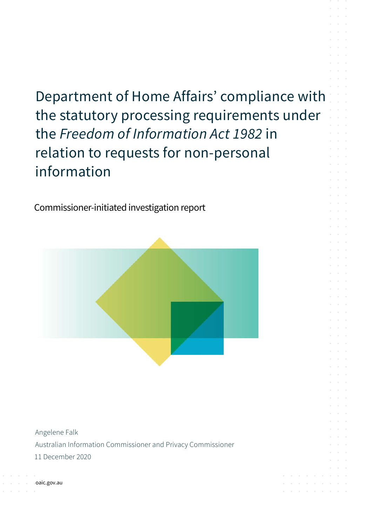Department of Home Affairs' compliance with the statutory processing requirements under the *Freedom of Information Act 1982* in relation to requests for non-personal information

Commissioner-initiated investigation report



11 December 2020 Angelene Falk Australian Information Commissioner and Privacy Commissioner

 $\alpha$  , and  $\alpha$  , and  $\alpha$  , and  $\alpha$ 

 $\alpha$  , and  $\alpha$  , and  $\alpha$  , and  $\alpha$ and a state of the control of

oaic.gov.au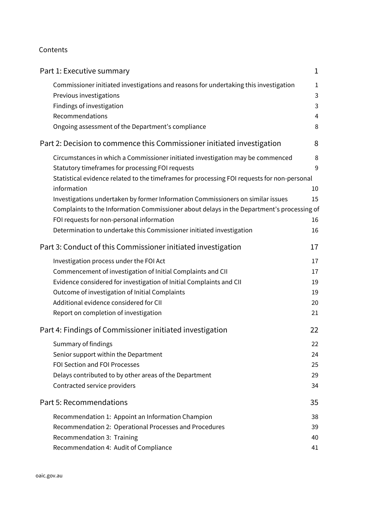### Contents

| Part 1: Executive summary                                                                                                                    | $\mathbf 1$            |
|----------------------------------------------------------------------------------------------------------------------------------------------|------------------------|
| Commissioner initiated investigations and reasons for undertaking this investigation<br>Previous investigations<br>Findings of investigation | $\mathbf{1}$<br>3<br>3 |
| Recommendations                                                                                                                              | 4                      |
| Ongoing assessment of the Department's compliance                                                                                            | 8                      |
| Part 2: Decision to commence this Commissioner initiated investigation                                                                       | 8                      |
| Circumstances in which a Commissioner initiated investigation may be commenced                                                               | 8                      |
| Statutory timeframes for processing FOI requests                                                                                             | 9                      |
| Statistical evidence related to the timeframes for processing FOI requests for non-personal                                                  |                        |
| information                                                                                                                                  | 10                     |
| Investigations undertaken by former Information Commissioners on similar issues                                                              | 15                     |
| Complaints to the Information Commissioner about delays in the Department's processing of<br>FOI requests for non-personal information       | 16                     |
| Determination to undertake this Commissioner initiated investigation                                                                         | 16                     |
|                                                                                                                                              |                        |
| Part 3: Conduct of this Commissioner initiated investigation                                                                                 | 17                     |
| Investigation process under the FOI Act                                                                                                      | 17                     |
| Commencement of investigation of Initial Complaints and CII                                                                                  | 17                     |
| Evidence considered for investigation of Initial Complaints and CII                                                                          | 19                     |
| Outcome of investigation of Initial Complaints                                                                                               | 19                     |
| Additional evidence considered for CII                                                                                                       | 20                     |
| Report on completion of investigation                                                                                                        | 21                     |
| Part 4: Findings of Commissioner initiated investigation                                                                                     | 22                     |
| Summary of findings                                                                                                                          | 22                     |
| Senior support within the Department                                                                                                         | 24                     |
| FOI Section and FOI Processes                                                                                                                | 25                     |
| Delays contributed to by other areas of the Department                                                                                       | 29                     |
| Contracted service providers                                                                                                                 | 34                     |
| Part 5: Recommendations                                                                                                                      | 35                     |
| Recommendation 1: Appoint an Information Champion                                                                                            | 38                     |
| Recommendation 2: Operational Processes and Procedures                                                                                       | 39                     |
| Recommendation 3: Training                                                                                                                   | 40                     |
| Recommendation 4: Audit of Compliance                                                                                                        | 41                     |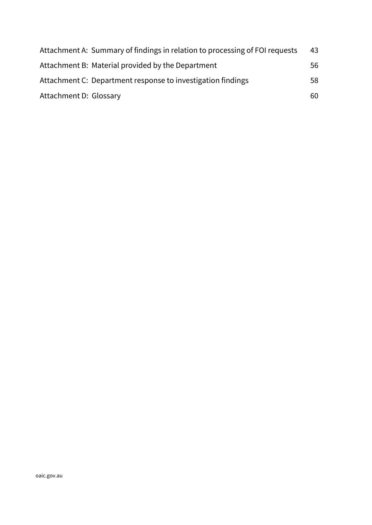| Attachment A: Summary of findings in relation to processing of FOI requests | 43 |
|-----------------------------------------------------------------------------|----|
| Attachment B: Material provided by the Department                           | 56 |
| Attachment C: Department response to investigation findings                 | 58 |
| Attachment D: Glossary                                                      | 60 |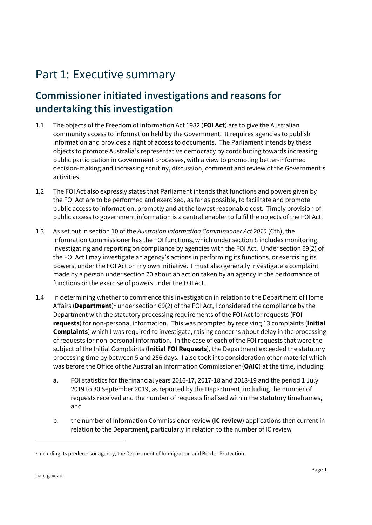# <span id="page-3-0"></span>Part 1: Executive summary

## <span id="page-3-1"></span>**Commissioner initiated investigations and reasons for undertaking this investigation**

- 1.1 The objects of the Freedom of Information Act 1982 (**FOI Act**) are to give the Australian community access to information held by the Government. It requires agencies to publish information and provides a right of access to documents. The Parliament intends by these objects to promote Australia's representative democracy by contributing towards increasing public participation in Government processes, with a view to promoting better-informed decision-making and increasing scrutiny, discussion, comment and review of the Government's activities.
- 1.2 The FOI Act also expressly states that Parliament intends that functions and powers given by the FOI Act are to be performed and exercised, as far as possible, to facilitate and promote public access to information, promptly and at the lowest reasonable cost. Timely provision of public access to government information is a central enabler to fulfil the objects of the FOI Act.
- 1.3 As set out in section 10 of the *Australian Information Commissioner Act 2010* (Cth), the Information Commissioner has the FOI functions, which under section 8 includes monitoring, investigating and reporting on compliance by agencies with the FOI Act. Under section 69(2) of the FOI Act I may investigate an agency's actions in performing its functions, or exercising its powers, under the FOI Act on my own initiative. I must also generally investigate a complaint made by a person under section 70 about an action taken by an agency in the performance of functions or the exercise of powers under the FOI Act.
- 1.4 In determining whether to commence this investigation in relation to the Department of Home Affairs (Department)<sup>[1](#page-3-2)</sup> under section 69(2) of the FOI Act, I considered the compliance by the Department with the statutory processing requirements of the FOI Act for requests (**FOI requests**) for non-personal information. This was prompted by receiving 13 complaints (**Initial Complaints**) which I was required to investigate, raising concerns about delay in the processing of requests for non-personal information. In the case of each of the FOI requests that were the subject of the Initial Complaints (**Initial FOI Requests**), the Department exceeded the statutory processing time by between 5 and 256 days. I also took into consideration other material which was before the Office of the Australian Information Commissioner (**OAIC**) at the time, including:
	- a. FOI statistics for the financial years 2016-17, 2017-18 and 2018-19 and the period 1 July 2019 to 30 September 2019, as reported by the Department, including the number of requests received and the number of requests finalised within the statutory timeframes, and
	- b. the number of Information Commissioner review (**IC review**) applications then current in relation to the Department, particularly in relation to the number of IC review

<span id="page-3-2"></span><sup>&</sup>lt;sup>1</sup> Including its predecessor agency, the Department of Immigration and Border Protection.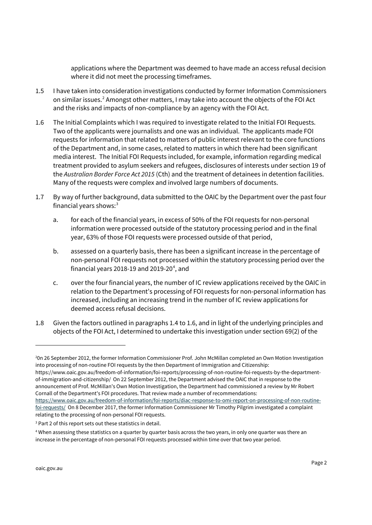applications where the Department was deemed to have made an access refusal decision where it did not meet the processing timeframes.

- 1.5 I have taken into consideration investigations conducted by former Information Commissioners on similar issues.<sup>[2](#page-4-0)</sup> Amongst other matters, I may take into account the objects of the FOI Act and the risks and impacts of non-compliance by an agency with the FOI Act.
- 1.6 The Initial Complaints which I was required to investigate related to the Initial FOI Requests. Two of the applicants were journalists and one was an individual. The applicants made FOI requests for information that related to matters of public interest relevant to the core functions of the Department and, in some cases, related to matters in which there had been significant media interest. The Initial FOI Requests included, for example, information regarding medical treatment provided to asylum seekers and refugees, disclosures of interests under section 19 of the *Australian Border Force Act 2015* (Cth) and the treatment of detainees in detention facilities. Many of the requests were complex and involved large numbers of documents.
- 1.7 By way of further background, data submitted to the OAIC by the Department over the past four financial years shows:[3](#page-4-1)
	- a. for each of the financial years, in excess of 50% of the FOI requests for non-personal information were processed outside of the statutory processing period and in the final year, 63% of those FOI requests were processed outside of that period,
	- b. assessed on a quarterly basis, there has been a significant increase in the percentage of non-personal FOI requests not processed within the statutory processing period over the financial years 2018-19 and 2019-20 $^4$  $^4$ , and
	- c. over the four financial years, the number of IC review applications received by the OAIC in relation to the Department's processing of FOI requests for non-personal information has increased, including an increasing trend in the number of IC review applications for deemed access refusal decisions.
- 1.8 Given the factors outlined in paragraphs 1.4 to 1.6, and in light of the underlying principles and objects of the FOI Act, I determined to undertake this investigation under section 69(2) of the

https://www.oaic.gov.au/freedom-of-information/foi-reports/processing-of-non-routine-foi-requests-by-the-departmentof-immigration-and-citizenship/ On 22 September 2012, the Department advised the OAIC that in response to the announcement of Prof. McMillan's Own Motion Investigation, the Department had commissioned a review by Mr Robert Cornall of the Department's FOI procedures. That review made a number of recommendations:

<span id="page-4-0"></span><sup>2</sup> 0n 26 September 2012, the former Information Commissioner Prof. John McMillan completed an Own Motion Investigation into processing of non-routine FOI requests by the then Department of Immigration and Citizenship:

[https://www.oaic.gov.au/freedom-of-information/foi-reports/diac-response-to-omi-report-on-processing-of-non-routine](https://www.oaic.gov.au/freedom-of-information/foi-reports/diac-response-to-omi-report-on-processing-of-non-routine-foi-requests/)[foi-requests/](https://www.oaic.gov.au/freedom-of-information/foi-reports/diac-response-to-omi-report-on-processing-of-non-routine-foi-requests/) On 8 December 2017, the former Information Commissioner Mr Timothy Pilgrim investigated a complaint relating to the processing of non-personal FOI requests.

<span id="page-4-1"></span><sup>&</sup>lt;sup>3</sup> Part 2 of this report sets out these statistics in detail.

<span id="page-4-2"></span><sup>4</sup> When assessing these statistics on a quarter by quarter basis across the two years, in only one quarter was there an increase in the percentage of non-personal FOI requests processed within time over that two year period.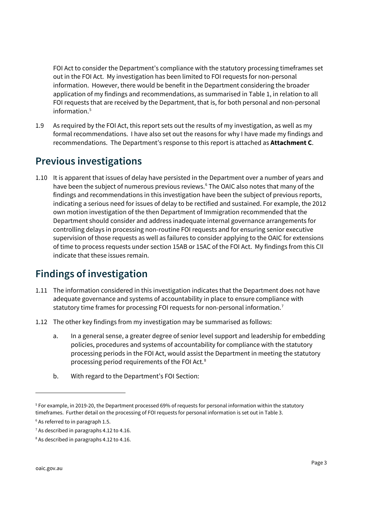FOI Act to consider the Department's compliance with the statutory processing timeframes set out in the FOI Act. My investigation has been limited to FOI requests for non-personal information. However, there would be benefit in the Department considering the broader application of my findings and recommendations, as summarised in Table 1, in relation to all FOI requests that are received by the Department, that is, for both personal and non-personal information. [5](#page-5-2)

1.9 As required by the FOI Act, this report sets out the results of my investigation, as well as my formal recommendations. I have also set out the reasons for why I have made my findings and recommendations. The Department's response to this report is attached as **Attachment C**.

### <span id="page-5-0"></span>**Previous investigations**

1.10 It is apparent that issues of delay have persisted in the Department over a number of years and have been the subject of numerous previous reviews.<sup>[6](#page-5-3)</sup> The OAIC also notes that many of the findings and recommendations in this investigation have been the subject of previous reports, indicating a serious need for issues of delay to be rectified and sustained. For example, the 2012 own motion investigation of the then Department of Immigration recommended that the Department should consider and address inadequate internal governance arrangements for controlling delays in processing non-routine FOI requests and for ensuring senior executive supervision of those requests as well as failures to consider applying to the OAIC for extensions of time to process requests under section 15AB or 15AC of the FOI Act. My findings from this CII indicate that these issues remain.

# <span id="page-5-1"></span>**Findings of investigation**

- 1.11 The information considered in this investigation indicates that the Department does not have adequate governance and systems of accountability in place to ensure compliance with statutory time frames for processing FOI requests for non-personal information.<sup>[7](#page-5-4)</sup>
- 1.12 The other key findings from my investigation may be summarised as follows:
	- a. In a general sense, a greater degree of senior level support and leadership for embedding policies, procedures and systems of accountability for compliance with the statutory processing periods in the FOI Act, would assist the Department in meeting the statutory processing period requirements of the FOI Act.[8](#page-5-5)
	- b. With regard to the Department's FOI Section:

<span id="page-5-2"></span><sup>5</sup> For example, in 2019-20, the Department processed 69% of requests for personal information within the statutory timeframes. Further detail on the processing of FOI requests for personal information is set out in Table 3.

<span id="page-5-3"></span><sup>&</sup>lt;sup>6</sup> As referred to in paragraph 1.5.

<span id="page-5-4"></span><sup>&</sup>lt;sup>7</sup> As described in paragraphs 4.12 to 4.16.

<span id="page-5-5"></span><sup>8</sup> As described in paragraphs 4.12 to 4.16.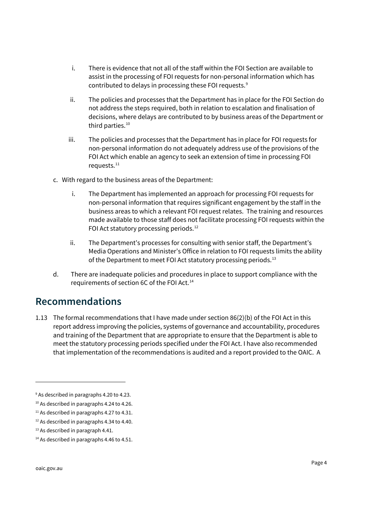- i. There is evidence that not all of the staff within the FOI Section are available to assist in the processing of FOI requests for non-personal information which has contributed to delays in processing these FOI requests.[9](#page-6-1)
- ii. The policies and processes that the Department has in place for the FOI Section do not address the steps required, both in relation to escalation and finalisation of decisions, where delays are contributed to by business areas of the Department or third parties.<sup>[10](#page-6-2)</sup>
- iii. The policies and processes that the Department has in place for FOI requests for non-personal information do not adequately address use of the provisions of the FOI Act which enable an agency to seek an extension of time in processing FOI requests.<sup>[11](#page-6-3)</sup>
- c. With regard to the business areas of the Department:
	- i. The Department has implemented an approach for processing FOI requests for non-personal information that requires significant engagement by the staff in the business areas to which a relevant FOI request relates. The training and resources made available to those staff does not facilitate processing FOI requests within the FOI Act statutory processing periods.<sup>[12](#page-6-4)</sup>
	- ii. The Department's processes for consulting with senior staff, the Department's Media Operations and Minister's Office in relation to FOI requests limits the ability of the Department to meet FOI Act statutory processing periods.<sup>[13](#page-6-5)</sup>
- d. There are inadequate policies and procedures in place to support compliance with the requirements of section 6C of the FOI Act.<sup>[14](#page-6-6)</sup>

### <span id="page-6-0"></span>**Recommendations**

1.13 The formal recommendations that I have made under section 86(2)(b) of the FOI Act in this report address improving the policies, systems of governance and accountability, procedures and training of the Department that are appropriate to ensure that the Department is able to meet the statutory processing periods specified under the FOI Act. I have also recommended that implementation of the recommendations is audited and a report provided to the OAIC. A

<span id="page-6-1"></span><sup>&</sup>lt;sup>9</sup> As described in paragraphs 4.20 to 4.23.

<span id="page-6-2"></span><sup>&</sup>lt;sup>10</sup> As described in paragraphs 4.24 to 4.26.

<span id="page-6-3"></span><sup>&</sup>lt;sup>11</sup> As described in paragraphs 4.27 to 4.31.

<span id="page-6-4"></span><sup>&</sup>lt;sup>12</sup> As described in paragraphs 4.34 to 4.40.

<span id="page-6-5"></span><sup>&</sup>lt;sup>13</sup> As described in paragraph 4.41.

<span id="page-6-6"></span><sup>&</sup>lt;sup>14</sup> As described in paragraphs 4.46 to 4.51.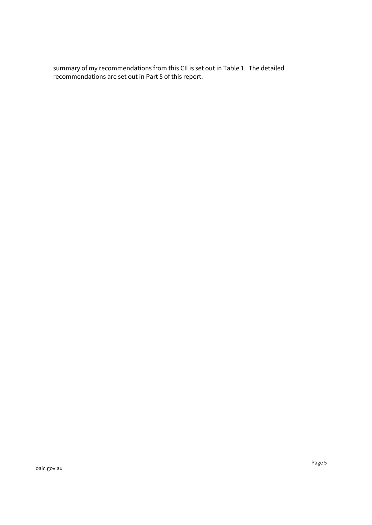summary of my recommendations from this CII is set out in Table 1. The detailed recommendations are set out in Part 5 of this report.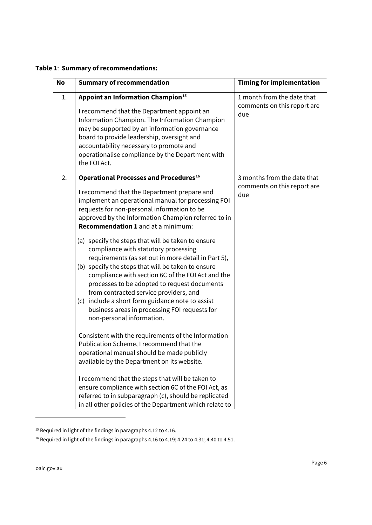### **Table 1**: **Summary of recommendations:**

| <b>No</b> | <b>Summary of recommendation</b>                                                                                                                                                                                                                                                                                                                                                                                                                                                                                                                                                                                                 | <b>Timing for implementation</b>                                  |
|-----------|----------------------------------------------------------------------------------------------------------------------------------------------------------------------------------------------------------------------------------------------------------------------------------------------------------------------------------------------------------------------------------------------------------------------------------------------------------------------------------------------------------------------------------------------------------------------------------------------------------------------------------|-------------------------------------------------------------------|
| 1.        | Appoint an Information Champion <sup>15</sup><br>I recommend that the Department appoint an<br>Information Champion. The Information Champion<br>may be supported by an information governance<br>board to provide leadership, oversight and<br>accountability necessary to promote and<br>operationalise compliance by the Department with<br>the FOI Act.                                                                                                                                                                                                                                                                      | 1 month from the date that<br>comments on this report are<br>due  |
| 2.        | <b>Operational Processes and Procedures<sup>16</sup></b><br>I recommend that the Department prepare and<br>implement an operational manual for processing FOI<br>requests for non-personal information to be<br>approved by the Information Champion referred to in<br><b>Recommendation 1</b> and at a minimum:<br>(a) specify the steps that will be taken to ensure<br>compliance with statutory processing<br>requirements (as set out in more detail in Part 5),<br>(b) specify the steps that will be taken to ensure<br>compliance with section 6C of the FOI Act and the<br>processes to be adopted to request documents | 3 months from the date that<br>comments on this report are<br>due |
|           | from contracted service providers, and<br>(c) include a short form guidance note to assist<br>business areas in processing FOI requests for<br>non-personal information.<br>Consistent with the requirements of the Information<br>Publication Scheme, I recommend that the<br>operational manual should be made publicly<br>available by the Department on its website.<br>I recommend that the steps that will be taken to<br>ensure compliance with section 6C of the FOI Act, as<br>referred to in subparagraph (c), should be replicated<br>in all other policies of the Department which relate to                         |                                                                   |

<span id="page-8-0"></span><sup>&</sup>lt;sup>15</sup> Required in light of the findings in paragraphs 4.12 to 4.16.

<span id="page-8-1"></span><sup>16</sup> Required in light of the findings in paragraphs 4.16 to 4.19; 4.24 to 4.31; 4.40 to 4.51.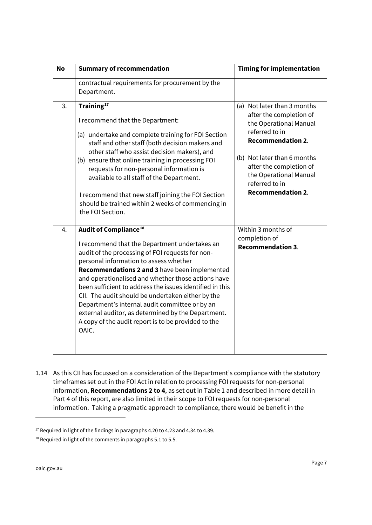| <b>No</b> | <b>Summary of recommendation</b>                                                                                                                                                                                                                                                                                                                                                                                                                                                                                                                                                       | <b>Timing for implementation</b>                                                                                                                                                                                                                                 |
|-----------|----------------------------------------------------------------------------------------------------------------------------------------------------------------------------------------------------------------------------------------------------------------------------------------------------------------------------------------------------------------------------------------------------------------------------------------------------------------------------------------------------------------------------------------------------------------------------------------|------------------------------------------------------------------------------------------------------------------------------------------------------------------------------------------------------------------------------------------------------------------|
|           | contractual requirements for procurement by the<br>Department.                                                                                                                                                                                                                                                                                                                                                                                                                                                                                                                         |                                                                                                                                                                                                                                                                  |
| 3.        | Training <sup>17</sup><br>I recommend that the Department:<br>(a) undertake and complete training for FOI Section<br>staff and other staff (both decision makers and<br>other staff who assist decision makers), and<br>(b) ensure that online training in processing FOI<br>requests for non-personal information is<br>available to all staff of the Department.<br>I recommend that new staff joining the FOI Section<br>should be trained within 2 weeks of commencing in<br>the FOI Section.                                                                                      | (a) Not later than 3 months<br>after the completion of<br>the Operational Manual<br>referred to in<br><b>Recommendation 2.</b><br>(b) Not later than 6 months<br>after the completion of<br>the Operational Manual<br>referred to in<br><b>Recommendation 2.</b> |
| 4.        | <b>Audit of Compliance<sup>18</sup></b><br>I recommend that the Department undertakes an<br>audit of the processing of FOI requests for non-<br>personal information to assess whether<br>Recommendations 2 and 3 have been implemented<br>and operationalised and whether those actions have<br>been sufficient to address the issues identified in this<br>CII. The audit should be undertaken either by the<br>Department's internal audit committee or by an<br>external auditor, as determined by the Department.<br>A copy of the audit report is to be provided to the<br>OAIC. | Within 3 months of<br>completion of<br><b>Recommendation 3.</b>                                                                                                                                                                                                  |

1.14 As this CII has focussed on a consideration of the Department's compliance with the statutory timeframes set out in the FOI Act in relation to processing FOI requests for non-personal information, **Recommendations 2 to 4**, as set out in Table 1 and described in more detail in Part 4 of this report, are also limited in their scope to FOI requests for non-personal information. Taking a pragmatic approach to compliance, there would be benefit in the

<span id="page-9-0"></span><sup>&</sup>lt;sup>17</sup> Required in light of the findings in paragraphs 4.20 to 4.23 and 4.34 to 4.39.

<span id="page-9-1"></span><sup>&</sup>lt;sup>18</sup> Required in light of the comments in paragraphs 5.1 to 5.5.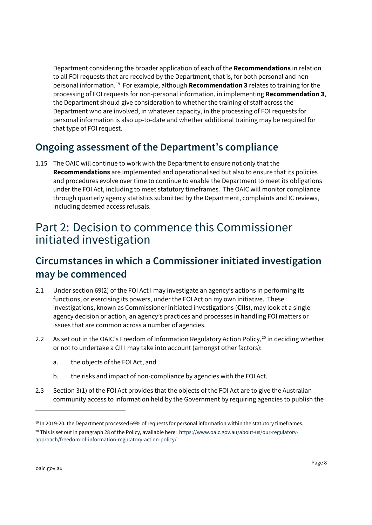Department considering the broader application of each of the **Recommendations** in relation to all FOI requests that are received by the Department, that is, for both personal and nonpersonal information.[19](#page-10-3) For example, although **Recommendation 3** relates to training for the processing of FOI requests for non-personal information, in implementing **Recommendation 3**, the Department should give consideration to whether the training of staff across the Department who are involved, in whatever capacity, in the processing of FOI requests for personal information is also up-to-date and whether additional training may be required for that type of FOI request.

### <span id="page-10-0"></span>**Ongoing assessment of the Department's compliance**

1.15 The OAIC will continue to work with the Department to ensure not only that the **Recommendations** are implemented and operationalised but also to ensure that its policies and procedures evolve over time to continue to enable the Department to meet its obligations under the FOI Act, including to meet statutory timeframes. The OAIC will monitor compliance through quarterly agency statistics submitted by the Department, complaints and IC reviews, including deemed access refusals.

# <span id="page-10-1"></span>Part 2: Decision to commence this Commissioner initiated investigation

### <span id="page-10-2"></span>**Circumstances in which a Commissioner initiated investigation may be commenced**

- 2.1 Under section 69(2) of the FOI Act I may investigate an agency's actions in performing its functions, or exercising its powers, under the FOI Act on my own initiative. These investigations, known as Commissioner initiated investigations (**CIIs**), may look at a single agency decision or action, an agency's practices and processes in handling FOI matters or issues that are common across a number of agencies.
- 2.2 As set out in the OAIC's Freedom of Information Regulatory Action Policy, $^{20}$  $^{20}$  $^{20}$  in deciding whether or not to undertake a CII I may take into account (amongst other factors):
	- a. the objects of the FOI Act, and
	- b. the risks and impact of non-compliance by agencies with the FOI Act.
- 2.3 Section 3(1) of the FOI Act provides that the objects of the FOI Act are to give the Australian community access to information held by the Government by requiring agencies to publish the

<span id="page-10-4"></span><span id="page-10-3"></span><sup>&</sup>lt;sup>19</sup> In 2019-20, the Department processed 69% of requests for personal information within the statutory timeframes. <sup>20</sup> This is set out in paragraph 28 of the Policy, available here: [https://www.oaic.gov.au/about-us/our-regulatory](https://www.oaic.gov.au/about-us/our-regulatory-approach/freedom-of-information-regulatory-action-policy/)[approach/freedom-of-information-regulatory-action-policy/](https://www.oaic.gov.au/about-us/our-regulatory-approach/freedom-of-information-regulatory-action-policy/)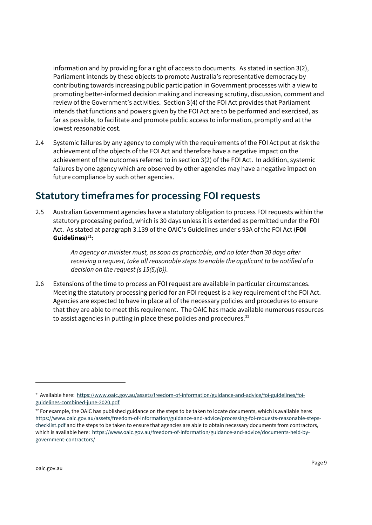information and by providing for a right of access to documents. As stated in section 3(2), Parliament intends by these objects to promote Australia's representative democracy by contributing towards increasing public participation in Government processes with a view to promoting better-informed decision making and increasing scrutiny, discussion, comment and review of the Government's activities. Section 3(4) of the FOI Act provides that Parliament intends that functions and powers given by the FOI Act are to be performed and exercised, as far as possible, to facilitate and promote public access to information, promptly and at the lowest reasonable cost.

2.4 Systemic failures by any agency to comply with the requirements of the FOI Act put at risk the achievement of the objects of the FOI Act and therefore have a negative impact on the achievement of the outcomes referred to in section 3(2) of the FOI Act. In addition, systemic failures by one agency which are observed by other agencies may have a negative impact on future compliance by such other agencies.

### <span id="page-11-0"></span>**Statutory timeframes for processing FOI requests**

2.5 Australian Government agencies have a statutory obligation to process FOI requests within the statutory processing period, which is 30 days unless it is extended as permitted under the FOI Act. As stated at paragraph 3.139 of the OAIC's Guidelines under s 93A of the FOI Act (**FOI Guidelines**) [21:](#page-11-1)

> *An agency or minister must, as soon as practicable, and no later than 30 days after receiving a request, take all reasonable steps to enable the applicant to be notified of a decision on the request (s 15(5)(b)).*

2.6 Extensions of the time to process an FOI request are available in particular circumstances. Meeting the statutory processing period for an FOI request is a key requirement of the FOI Act. Agencies are expected to have in place all of the necessary policies and procedures to ensure that they are able to meet this requirement. The OAIC has made available numerous resources to assist agencies in putting in place these policies and procedures.<sup>[22](#page-11-2)</sup>

<span id="page-11-1"></span><sup>&</sup>lt;sup>21</sup> Available here: [https://www.oaic.gov.au/assets/freedom-of-information/guidance-and-advice/foi-guidelines/foi](https://www.oaic.gov.au/assets/freedom-of-information/guidance-and-advice/foi-guidelines/foi-guidelines-combined-june-2020.pdf)[guidelines-combined-june-2020.pdf](https://www.oaic.gov.au/assets/freedom-of-information/guidance-and-advice/foi-guidelines/foi-guidelines-combined-june-2020.pdf)

<span id="page-11-2"></span> $22$  For example, the OAIC has published guidance on the steps to be taken to locate documents, which is available here: [https://www.oaic.gov.au/assets/freedom-of-information/guidance-and-advice/processing-foi-requests-reasonable-steps](https://www.oaic.gov.au/assets/freedom-of-information/guidance-and-advice/processing-foi-requests-reasonable-steps-checklist.pdf)[checklist.pdf](https://www.oaic.gov.au/assets/freedom-of-information/guidance-and-advice/processing-foi-requests-reasonable-steps-checklist.pdf) and the steps to be taken to ensure that agencies are able to obtain necessary documents from contractors, which is available here: [https://www.oaic.gov.au/freedom-of-information/guidance-and-advice/documents-held-by](https://www.oaic.gov.au/freedom-of-information/guidance-and-advice/documents-held-by-government-contractors/)[government-contractors/](https://www.oaic.gov.au/freedom-of-information/guidance-and-advice/documents-held-by-government-contractors/)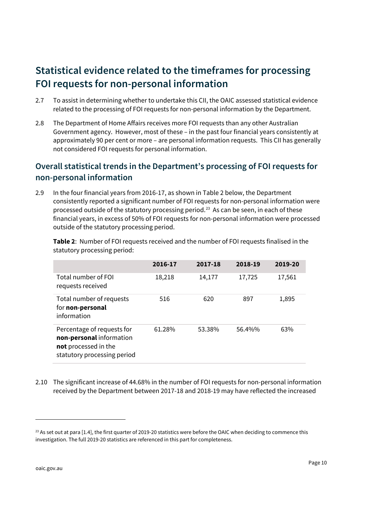## <span id="page-12-0"></span>**Statistical evidence related to the timeframes for processing FOI requests for non-personal information**

- 2.7 To assist in determining whether to undertake this CII, the OAIC assessed statistical evidence related to the processing of FOI requests for non-personal information by the Department.
- 2.8 The Department of Home Affairs receives more FOI requests than any other Australian Government agency. However, most of these – in the past four financial years consistently at approximately 90 per cent or more – are personal information requests. This CII has generally not considered FOI requests for personal information.

### **Overall statistical trends in the Department's processing of FOI requests for non-personal information**

2.9 In the four financial years from 2016-17, as shown in Table 2 below, the Department consistently reported a significant number of FOI requests for non-personal information were processed outside of the statutory processing period.<sup>[23](#page-12-1)</sup> As can be seen, in each of these financial years, in excess of 50% of FOI requests for non-personal information were processed outside of the statutory processing period.

|                              | Table 2: Number of FOI requests received and the number of FOI requests finalised in the |
|------------------------------|------------------------------------------------------------------------------------------|
| statutory processing period: |                                                                                          |

|                                                                                                               | 2016-17 | 2017-18 | 2018-19 | 2019-20 |
|---------------------------------------------------------------------------------------------------------------|---------|---------|---------|---------|
| Total number of FOI<br>requests received                                                                      | 18,218  | 14,177  | 17,725  | 17,561  |
| Total number of requests<br>for non-personal<br>information                                                   | 516     | 620     | 897     | 1,895   |
| Percentage of requests for<br>non-personal information<br>not processed in the<br>statutory processing period | 61.28%  | 53.38%  | 56.4%%  | 63%     |

2.10 The significant increase of 44.68% in the number of FOI requests for non-personal information received by the Department between 2017-18 and 2018-19 may have reflected the increased

<span id="page-12-1"></span> $23$  As set out at para [1.4], the first quarter of 2019-20 statistics were before the OAIC when deciding to commence this investigation. The full 2019-20 statistics are referenced in this part for completeness.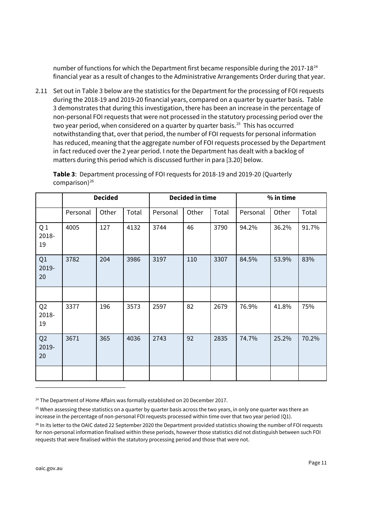number of functions for which the Department first became responsible during the 2017-18 $^{24}$  $^{24}$  $^{24}$ financial year as a result of changes to the Administrative Arrangements Order during that year.

2.11 Set out in Table 3 below are the statistics for the Department for the processing of FOI requests during the 2018-19 and 2019-20 financial years, compared on a quarter by quarter basis. Table 3 demonstrates that during this investigation, there has been an increase in the percentage of non-personal FOI requests that were not processed in the statutory processing period over the two year period, when considered on a quarter by quarter basis.<sup>25</sup> This has occurred notwithstanding that, over that period, the number of FOI requests for personal information has reduced, meaning that the aggregate number of FOI requests processed by the Department in fact reduced over the 2 year period. I note the Department has dealt with a backlog of matters during this period which is discussed further in para [3.20] below.

|                               | <b>Decided</b> |       |       | <b>Decided in time</b> |       | % in time |          |       |       |
|-------------------------------|----------------|-------|-------|------------------------|-------|-----------|----------|-------|-------|
|                               | Personal       | Other | Total | Personal               | Other | Total     | Personal | Other | Total |
| Q <sub>1</sub><br>2018-<br>19 | 4005           | 127   | 4132  | 3744                   | 46    | 3790      | 94.2%    | 36.2% | 91.7% |
| Q <sub>1</sub><br>2019-<br>20 | 3782           | 204   | 3986  | 3197                   | 110   | 3307      | 84.5%    | 53.9% | 83%   |
|                               |                |       |       |                        |       |           |          |       |       |
| Q <sub>2</sub><br>2018-<br>19 | 3377           | 196   | 3573  | 2597                   | 82    | 2679      | 76.9%    | 41.8% | 75%   |
| Q <sub>2</sub><br>2019-<br>20 | 3671           | 365   | 4036  | 2743                   | 92    | 2835      | 74.7%    | 25.2% | 70.2% |
|                               |                |       |       |                        |       |           |          |       |       |

**Table 3**: Department processing of FOI requests for 2018-19 and 2019-20 (Quarterly comparison) $^{26}$  $^{26}$  $^{26}$ 

<span id="page-13-0"></span><sup>&</sup>lt;sup>24</sup> The Department of Home Affairs was formally established on 20 December 2017.

<span id="page-13-1"></span> $25$  When assessing these statistics on a quarter by quarter basis across the two years, in only one quarter was there an increase in the percentage of non-personal FOI requests processed within time over that two year period (Q1).

<span id="page-13-2"></span><sup>&</sup>lt;sup>26</sup> In its letter to the OAIC dated 22 September 2020 the Department provided statistics showing the number of FOI requests for non-personal information finalised within these periods, however those statistics did not distinguish between such FOI requests that were finalised within the statutory processing period and those that were not.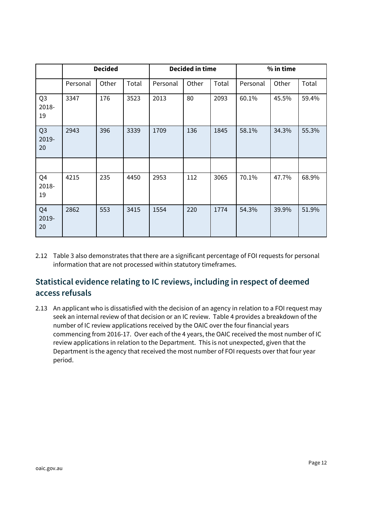|                               | <b>Decided</b> |       | <b>Decided in time</b> |          |       | % in time |          |       |       |
|-------------------------------|----------------|-------|------------------------|----------|-------|-----------|----------|-------|-------|
|                               | Personal       | Other | Total                  | Personal | Other | Total     | Personal | Other | Total |
| Q <sub>3</sub><br>2018-<br>19 | 3347           | 176   | 3523                   | 2013     | 80    | 2093      | 60.1%    | 45.5% | 59.4% |
| Q <sub>3</sub><br>2019-<br>20 | 2943           | 396   | 3339                   | 1709     | 136   | 1845      | 58.1%    | 34.3% | 55.3% |
|                               |                |       |                        |          |       |           |          |       |       |
| Q4<br>2018-<br>19             | 4215           | 235   | 4450                   | 2953     | 112   | 3065      | 70.1%    | 47.7% | 68.9% |
| Q <sub>4</sub><br>2019-<br>20 | 2862           | 553   | 3415                   | 1554     | 220   | 1774      | 54.3%    | 39.9% | 51.9% |

2.12 Table 3 also demonstrates that there are a significant percentage of FOI requests for personal information that are not processed within statutory timeframes.

### **Statistical evidence relating to IC reviews, including in respect of deemed access refusals**

2.13 An applicant who is dissatisfied with the decision of an agency in relation to a FOI request may seek an internal review of that decision or an IC review. Table 4 provides a breakdown of the number of IC review applications received by the OAIC over the four financial years commencing from 2016-17. Over each of the 4 years, the OAIC received the most number of IC review applications in relation to the Department. This is not unexpected, given that the Department is the agency that received the most number of FOI requests over that four year period.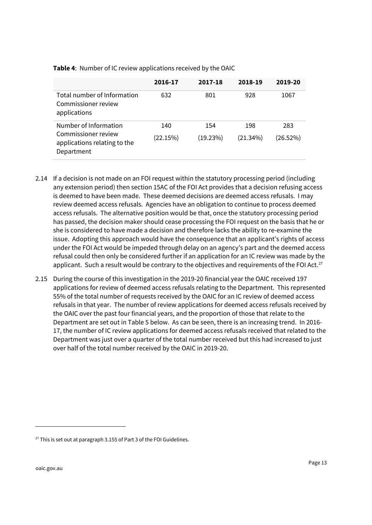|                                                                    | 2016-17  | 2017-18  | 2018-19     | 2019-20  |
|--------------------------------------------------------------------|----------|----------|-------------|----------|
| Total number of Information<br>Commissioner review<br>applications | 632      | 801      | 928         | 1067     |
| Number of Information                                              | 140      | 154      | 198         | 283      |
| Commissioner review<br>applications relating to the<br>Department  | (22.15%) | (19.23%) | $(21.34\%)$ | (26.52%) |

**Table 4**: Number of IC review applications received by the OAIC

- 2.14 If a decision is not made on an FOI request within the statutory processing period (including any extension period) then section 15AC of the FOI Act provides that a decision refusing access is deemed to have been made. These deemed decisions are deemed access refusals. I may review deemed access refusals. Agencies have an obligation to continue to process deemed access refusals. The alternative position would be that, once the statutory processing period has passed, the decision maker should cease processing the FOI request on the basis that he or she is considered to have made a decision and therefore lacks the ability to re-examine the issue. Adopting this approach would have the consequence that an applicant's rights of access under the FOI Act would be impeded through delay on an agency's part and the deemed access refusal could then only be considered further if an application for an IC review was made by the applicant. Such a result would be contrary to the objectives and requirements of the FOI Act. $27$
- 2.15 During the course of this investigation in the 2019-20 financial year the OAIC received 197 applications for review of deemed access refusals relating to the Department. This represented 55% of the total number of requests received by the OAIC for an IC review of deemed access refusals in that year. The number of review applications for deemed access refusals received by the OAIC over the past four financial years, and the proportion of those that relate to the Department are set out in Table 5 below. As can be seen, there is an increasing trend. In 2016- 17, the number of IC review applications for deemed access refusals received that related to the Department was just over a quarter of the total number received but this had increased to just over half of the total number received by the OAIC in 2019-20.

<span id="page-15-0"></span> $27$  This is set out at paragraph 3.155 of Part 3 of the FOI Guidelines.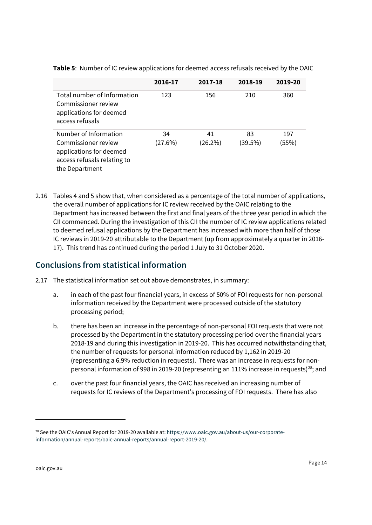|                                                                                                                          | 2016-17          | 2017-18          | 2018-19          | 2019-20      |
|--------------------------------------------------------------------------------------------------------------------------|------------------|------------------|------------------|--------------|
| Total number of Information<br>Commissioner review<br>applications for deemed<br>access refusals                         | 123              | 156              | 210              | 360          |
| Number of Information<br>Commissioner review<br>applications for deemed<br>access refusals relating to<br>the Department | 34<br>$(27.6\%)$ | 41<br>$(26.2\%)$ | 83<br>$(39.5\%)$ | 197<br>(55%) |

**Table 5**: Number of IC review applications for deemed access refusals received by the OAIC

2.16 Tables 4 and 5 show that, when considered as a percentage of the total number of applications, the overall number of applications for IC review received by the OAIC relating to the Department has increased between the first and final years of the three year period in which the CII commenced. During the investigation of this CII the number of IC review applications related to deemed refusal applications by the Department has increased with more than half of those IC reviews in 2019-20 attributable to the Department (up from approximately a quarter in 2016- 17). This trend has continued during the period 1 July to 31 October 2020.

### **Conclusions from statistical information**

- 2.17 The statistical information set out above demonstrates, in summary:
	- a. in each of the past four financial years, in excess of 50% of FOI requests for non-personal information received by the Department were processed outside of the statutory processing period;
	- b. there has been an increase in the percentage of non-personal FOI requests that were not processed by the Department in the statutory processing period over the financial years 2018-19 and during this investigation in 2019-20. This has occurred notwithstanding that, the number of requests for personal information reduced by 1,162 in 2019-20 (representing a 6.9% reduction in requests). There was an increase in requests for nonpersonal information of 998 in 2019-20 (representing an 111% increase in requests)<sup>28</sup>; and
	- c. over the past four financial years, the OAIC has received an increasing number of requests for IC reviews of the Department's processing of FOI requests. There has also

<span id="page-16-0"></span><sup>&</sup>lt;sup>28</sup> See the OAIC's Annual Report for 2019-20 available at[: https://www.oaic.gov.au/about-us/our-corporate](https://www.oaic.gov.au/about-us/our-corporate-information/annual-reports/oaic-annual-reports/annual-report-2019-20/)[information/annual-reports/oaic-annual-reports/annual-report-2019-20/.](https://www.oaic.gov.au/about-us/our-corporate-information/annual-reports/oaic-annual-reports/annual-report-2019-20/)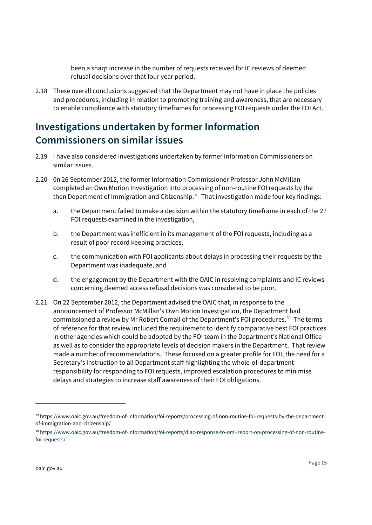been a sharp increase in the number of requests received for IC reviews of deemed refusal decisions over that four year period.

2.18 These overall conclusions suggested that the Department may not have in place the policies and procedures, including in relation to promoting training and awareness, that are necessary to enable compliance with statutory timeframes for processing FOI requests under the FOI Act.

## <span id="page-17-0"></span>**Investigations undertaken by former Information Commissioners on similar issues**

- 2.19 I have also considered investigations undertaken by former Information Commissioners on similar issues.
- 2.20 0n 26 September 2012, the former Information Commissioner Professor John McMillan completed an Own Motion Investigation into processing of non-routine FOI requests by the then Department of Immigration and Citizenship.<sup>[29](#page-17-1)</sup> That investigation made four key findings:
	- a. the Department failed to make a decision within the statutory timeframe in each of the 27 FOI requests examined in the investigation,
	- b. the Department was inefficient in its management of the FOI requests, including as a result of poor record keeping practices,
	- c. the communication with FOI applicants about delays in processing their requests by the Department was inadequate, and
	- d. the engagement by the Department with the OAIC in resolving complaints and IC reviews concerning deemed access refusal decisions was considered to be poor.
- 2.21 On 22 September 2012, the Department advised the OAIC that, in response to the announcement of Professor McMillan's Own Motion Investigation, the Department had commissioned a review by Mr Robert Cornall of the Department's FOI procedures.<sup>[30](#page-17-2)</sup> The terms of reference for that review included the requirement to identify comparative best FOI practices in other agencies which could be adopted by the FOI team in the Department's National Office as well as to consider the appropriate levels of decision makers in the Department. That review made a number of recommendations. These focused on a greater profile for FOI, the need for a Secretary's instruction to all Department staff highlighting the whole-of-department responsibility for responding to FOI requests, improved escalation procedures to minimise delays and strategies to increase staff awareness of their FOI obligations.

<span id="page-17-1"></span><sup>29</sup> https://www.oaic.gov.au/freedom-of-information/foi-reports/processing-of-non-routine-foi-requests-by-the-departmentof-immigration-and-citizenship/

<span id="page-17-2"></span><sup>30</sup> [https://www.oaic.gov.au/freedom-of-information/foi-reports/diac-response-to-omi-report-on-processing-of-non-routine](https://www.oaic.gov.au/freedom-of-information/foi-reports/diac-response-to-omi-report-on-processing-of-non-routine-foi-requests/)[foi-requests/](https://www.oaic.gov.au/freedom-of-information/foi-reports/diac-response-to-omi-report-on-processing-of-non-routine-foi-requests/)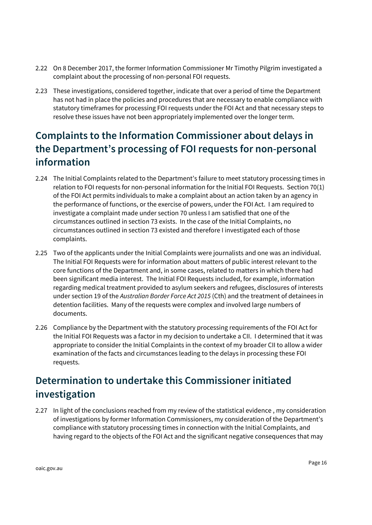- 2.22 On 8 December 2017, the former Information Commissioner Mr Timothy Pilgrim investigated a complaint about the processing of non-personal FOI requests.
- 2.23 These investigations, considered together, indicate that over a period of time the Department has not had in place the policies and procedures that are necessary to enable compliance with statutory timeframes for processing FOI requests under the FOI Act and that necessary steps to resolve these issues have not been appropriately implemented over the longer term.

# <span id="page-18-0"></span>**Complaints to the Information Commissioner about delays in the Department's processing of FOI requests for non-personal information**

- 2.24 The Initial Complaints related to the Department's failure to meet statutory processing times in relation to FOI requests for non-personal information for the Initial FOI Requests. Section 70(1) of the FOI Act permits individuals to make a complaint about an action taken by an agency in the performance of functions, or the exercise of powers, under the FOI Act. I am required to investigate a complaint made under section 70 unless I am satisfied that one of the circumstances outlined in section 73 exists. In the case of the Initial Complaints, no circumstances outlined in section 73 existed and therefore I investigated each of those complaints.
- 2.25 Two of the applicants under the Initial Complaints were journalists and one was an individual. The Initial FOI Requests were for information about matters of public interest relevant to the core functions of the Department and, in some cases, related to matters in which there had been significant media interest. The Initial FOI Requests included, for example, information regarding medical treatment provided to asylum seekers and refugees, disclosures of interests under section 19 of the *Australian Border Force Act 2015* (Cth) and the treatment of detainees in detention facilities. Many of the requests were complex and involved large numbers of documents.
- 2.26 Compliance by the Department with the statutory processing requirements of the FOI Act for the Initial FOI Requests was a factor in my decision to undertake a CII. I determined that it was appropriate to consider the Initial Complaints in the context of my broader CII to allow a wider examination of the facts and circumstances leading to the delays in processing these FOI requests.

# <span id="page-18-1"></span>**Determination to undertake this Commissioner initiated investigation**

2.27 In light of the conclusions reached from my review of the statistical evidence , my consideration of investigations by former Information Commissioners, my consideration of the Department's compliance with statutory processing times in connection with the Initial Complaints, and having regard to the objects of the FOI Act and the significant negative consequences that may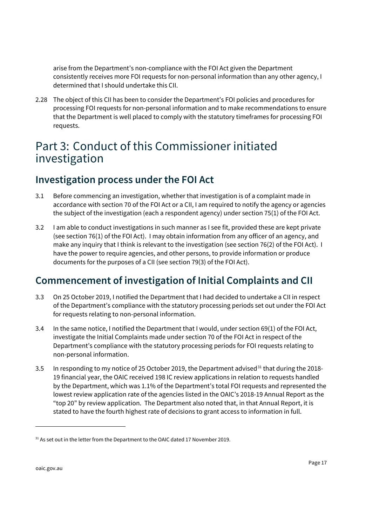arise from the Department's non-compliance with the FOI Act given the Department consistently receives more FOI requests for non-personal information than any other agency, I determined that I should undertake this CII.

2.28 The object of this CII has been to consider the Department's FOI policies and procedures for processing FOI requests for non-personal information and to make recommendations to ensure that the Department is well placed to comply with the statutory timeframes for processing FOI requests.

# <span id="page-19-0"></span>Part 3: Conduct of this Commissioner initiated investigation

### <span id="page-19-1"></span>**Investigation process under the FOI Act**

- 3.1 Before commencing an investigation, whether that investigation is of a complaint made in accordance with section 70 of the FOI Act or a CII, I am required to notify the agency or agencies the subject of the investigation (each a respondent agency) under section 75(1) of the FOI Act.
- 3.2 I am able to conduct investigations in such manner as I see fit, provided these are kept private (see section 76(1) of the FOI Act). I may obtain information from any officer of an agency, and make any inquiry that I think is relevant to the investigation (see section 76(2) of the FOI Act). I have the power to require agencies, and other persons, to provide information or produce documents for the purposes of a CII (see section 79(3) of the FOI Act).

# <span id="page-19-2"></span>**Commencement of investigation of Initial Complaints and CII**

- 3.3 On 25 October 2019, I notified the Department that I had decided to undertake a CII in respect of the Department's compliance with the statutory processing periods set out under the FOI Act for requests relating to non-personal information.
- 3.4 In the same notice, I notified the Department that I would, under section 69(1) of the FOI Act, investigate the Initial Complaints made under section 70 of the FOI Act in respect of the Department's compliance with the statutory processing periods for FOI requests relating to non-personal information.
- 3.5 In responding to my notice of 25 October 2019, the Department advised  $31$  that during the 2018-19 financial year, the OAIC received 198 IC review applications in relation to requests handled by the Department, which was 1.1% of the Department's total FOI requests and represented the lowest review application rate of the agencies listed in the OAIC's 2018-19 Annual Report as the "top 20" by review application. The Department also noted that, in that Annual Report, it is stated to have the fourth highest rate of decisions to grant access to information in full.

<span id="page-19-3"></span> $31$  As set out in the letter from the Department to the OAIC dated 17 November 2019.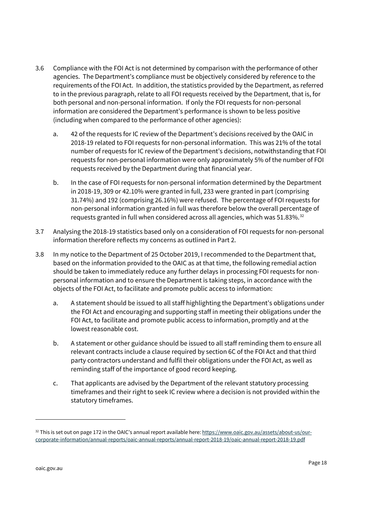- 3.6 Compliance with the FOI Act is not determined by comparison with the performance of other agencies. The Department's compliance must be objectively considered by reference to the requirements of the FOI Act. In addition, the statistics provided by the Department, as referred to in the previous paragraph, relate to all FOI requests received by the Department, that is, for both personal and non-personal information. If only the FOI requests for non-personal information are considered the Department's performance is shown to be less positive (including when compared to the performance of other agencies):
	- a. 42 of the requests for IC review of the Department's decisions received by the OAIC in 2018-19 related to FOI requests for non-personal information. This was 21% of the total number of requests for IC review of the Department's decisions, notwithstanding that FOI requests for non-personal information were only approximately 5% of the number of FOI requests received by the Department during that financial year.
	- b. In the case of FOI requests for non-personal information determined by the Department in 2018-19, 309 or 42.10% were granted in full, 233 were granted in part (comprising 31.74%) and 192 (comprising 26.16%) were refused. The percentage of FOI requests for non-personal information granted in full was therefore below the overall percentage of requests granted in full when considered across all agencies, which was 51.83%.<sup>[32](#page-20-0)</sup>
- 3.7 Analysing the 2018-19 statistics based only on a consideration of FOI requests for non-personal information therefore reflects my concerns as outlined in Part 2.
- 3.8 In my notice to the Department of 25 October 2019, I recommended to the Department that, based on the information provided to the OAIC as at that time, the following remedial action should be taken to immediately reduce any further delays in processing FOI requests for nonpersonal information and to ensure the Department is taking steps, in accordance with the objects of the FOI Act, to facilitate and promote public access to information:
	- a. A statement should be issued to all staff highlighting the Department's obligations under the FOI Act and encouraging and supporting staff in meeting their obligations under the FOI Act, to facilitate and promote public access to information, promptly and at the lowest reasonable cost.
	- b. A statement or other guidance should be issued to all staff reminding them to ensure all relevant contracts include a clause required by section 6C of the FOI Act and that third party contractors understand and fulfil their obligations under the FOI Act, as well as reminding staff of the importance of good record keeping.
	- c. That applicants are advised by the Department of the relevant statutory processing timeframes and their right to seek IC review where a decision is not provided within the statutory timeframes.

<span id="page-20-0"></span><sup>&</sup>lt;sup>32</sup> This is set out on page 172 in the OAIC's annual report available here[: https://www.oaic.gov.au/assets/about-us/our](https://www.oaic.gov.au/assets/about-us/our-corporate-information/annual-reports/oaic-annual-reports/annual-report-2018-19/oaic-annual-report-2018-19.pdf)[corporate-information/annual-reports/oaic-annual-reports/annual-report-2018-19/oaic-annual-report-2018-19.pdf](https://www.oaic.gov.au/assets/about-us/our-corporate-information/annual-reports/oaic-annual-reports/annual-report-2018-19/oaic-annual-report-2018-19.pdf)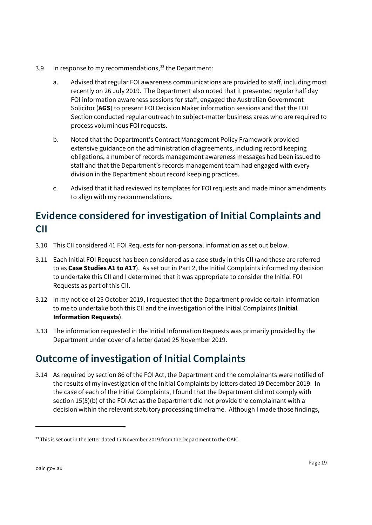- 3.9 In response to my recommendations,<sup>[33](#page-21-2)</sup> the Department:
	- a. Advised that regular FOI awareness communications are provided to staff, including most recently on 26 July 2019. The Department also noted that it presented regular half day FOI information awareness sessions for staff, engaged the Australian Government Solicitor (**AGS**) to present FOI Decision Maker information sessions and that the FOI Section conducted regular outreach to subject-matter business areas who are required to process voluminous FOI requests.
	- b. Noted that the Department's Contract Management Policy Framework provided extensive guidance on the administration of agreements, including record keeping obligations, a number of records management awareness messages had been issued to staff and that the Department's records management team had engaged with every division in the Department about record keeping practices.
	- c. Advised that it had reviewed its templates for FOI requests and made minor amendments to align with my recommendations.

# <span id="page-21-0"></span>**Evidence considered for investigation of Initial Complaints and CII**

- 3.10 This CII considered 41 FOI Requests for non-personal information as set out below.
- 3.11 Each Initial FOI Request has been considered as a case study in this CII (and these are referred to as **Case Studies A1 to A17**). As set out in Part 2, the Initial Complaints informed my decision to undertake this CII and I determined that it was appropriate to consider the Initial FOI Requests as part of this CII.
- 3.12 In my notice of 25 October 2019, I requested that the Department provide certain information to me to undertake both this CII and the investigation of the Initial Complaints (**Initial Information Requests**).
- 3.13 The information requested in the Initial Information Requests was primarily provided by the Department under cover of a letter dated 25 November 2019.

# <span id="page-21-1"></span>**Outcome of investigation of Initial Complaints**

3.14 As required by section 86 of the FOI Act, the Department and the complainants were notified of the results of my investigation of the Initial Complaints by letters dated 19 December 2019. In the case of each of the Initial Complaints, I found that the Department did not comply with section 15(5)(b) of the FOI Act as the Department did not provide the complainant with a decision within the relevant statutory processing timeframe. Although I made those findings,

<span id="page-21-2"></span><sup>33</sup> This is set out in the letter dated 17 November 2019 from the Department to the OAIC.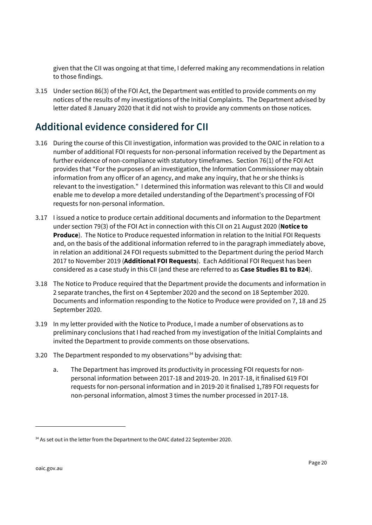given that the CII was ongoing at that time, I deferred making any recommendations in relation to those findings.

3.15 Under section 86(3) of the FOI Act, the Department was entitled to provide comments on my notices of the results of my investigations of the Initial Complaints. The Department advised by letter dated 8 January 2020 that it did not wish to provide any comments on those notices.

### <span id="page-22-0"></span>**Additional evidence considered for CII**

- 3.16 During the course of this CII investigation, information was provided to the OAIC in relation to a number of additional FOI requests for non-personal information received by the Department as further evidence of non-compliance with statutory timeframes. Section 76(1) of the FOI Act provides that "For the purposes of an investigation, the Information Commissioner may obtain information from any officer of an agency, and make any inquiry, that he or she thinks is relevant to the investigation." I determined this information was relevant to this CII and would enable me to develop a more detailed understanding of the Department's processing of FOI requests for non-personal information.
- 3.17 I issued a notice to produce certain additional documents and information to the Department under section 79(3) of the FOI Act in connection with this CII on 21 August 2020 (**Notice to Produce**). The Notice to Produce requested information in relation to the Initial FOI Requests and, on the basis of the additional information referred to in the paragraph immediately above, in relation an additional 24 FOI requests submitted to the Department during the period March 2017 to November 2019 (**Additional FOI Requests**). Each Additional FOI Request has been considered as a case study in this CII (and these are referred to as **Case Studies B1 to B24**).
- 3.18 The Notice to Produce required that the Department provide the documents and information in 2 separate tranches, the first on 4 September 2020 and the second on 18 September 2020. Documents and information responding to the Notice to Produce were provided on 7, 18 and 25 September 2020.
- 3.19 In my letter provided with the Notice to Produce, I made a number of observations as to preliminary conclusions that I had reached from my investigation of the Initial Complaints and invited the Department to provide comments on those observations.
- 3.20 The Department responded to my observations<sup>[34](#page-22-1)</sup> by advising that:
	- a. The Department has improved its productivity in processing FOI requests for nonpersonal information between 2017-18 and 2019-20. In 2017-18, it finalised 619 FOI requests for non-personal information and in 2019-20 it finalised 1,789 FOI requests for non-personal information, almost 3 times the number processed in 2017-18.

<span id="page-22-1"></span><sup>&</sup>lt;sup>34</sup> As set out in the letter from the Department to the OAIC dated 22 September 2020.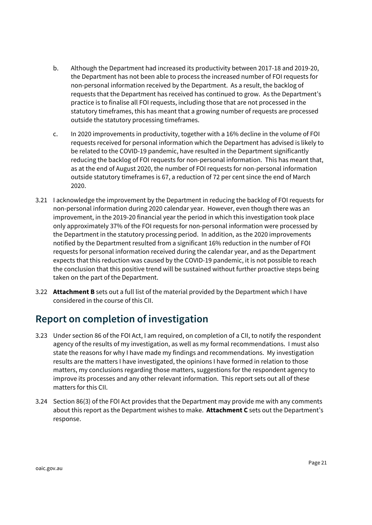- b. Although the Department had increased its productivity between 2017-18 and 2019-20, the Department has not been able to process the increased number of FOI requests for non-personal information received by the Department. As a result, the backlog of requests that the Department has received has continued to grow. As the Department's practice is to finalise all FOI requests, including those that are not processed in the statutory timeframes, this has meant that a growing number of requests are processed outside the statutory processing timeframes.
- c. In 2020 improvements in productivity, together with a 16% decline in the volume of FOI requests received for personal information which the Department has advised is likely to be related to the COVID-19 pandemic, have resulted in the Department significantly reducing the backlog of FOI requests for non-personal information. This has meant that, as at the end of August 2020, the number of FOI requests for non-personal information outside statutory timeframes is 67, a reduction of 72 per cent since the end of March 2020.
- 3.21 I acknowledge the improvement by the Department in reducing the backlog of FOI requests for non-personal information during 2020 calendar year. However, even though there was an improvement, in the 2019-20 financial year the period in which this investigation took place only approximately 37% of the FOI requests for non-personal information were processed by the Department in the statutory processing period. In addition, as the 2020 improvements notified by the Department resulted from a significant 16% reduction in the number of FOI requests for personal information received during the calendar year, and as the Department expects that this reduction was caused by the COVID-19 pandemic, it is not possible to reach the conclusion that this positive trend will be sustained without further proactive steps being taken on the part of the Department.
- 3.22 **Attachment B** sets out a full list of the material provided by the Department which I have considered in the course of this CII.

## <span id="page-23-0"></span>**Report on completion of investigation**

- 3.23 Under section 86 of the FOI Act, I am required, on completion of a CII, to notify the respondent agency of the results of my investigation, as well as my formal recommendations. I must also state the reasons for why I have made my findings and recommendations. My investigation results are the matters I have investigated, the opinions I have formed in relation to those matters, my conclusions regarding those matters, suggestions for the respondent agency to improve its processes and any other relevant information. This report sets out all of these matters for this CII.
- 3.24 Section 86(3) of the FOI Act provides that the Department may provide me with any comments about this report as the Department wishes to make. **Attachment C** sets out the Department's response.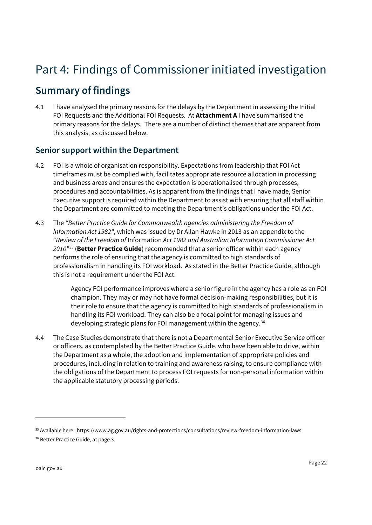# <span id="page-24-0"></span>Part 4: Findings of Commissioner initiated investigation

### <span id="page-24-1"></span>**Summary of findings**

4.1 I have analysed the primary reasons for the delays by the Department in assessing the Initial FOI Requests and the Additional FOI Requests. At **Attachment A** I have summarised the primary reasons for the delays. There are a number of distinct themes that are apparent from this analysis, as discussed below.

### **Senior support within the Department**

- 4.2 FOI is a whole of organisation responsibility. Expectations from leadership that FOI Act timeframes must be complied with, facilitates appropriate resource allocation in processing and business areas and ensures the expectation is operationalised through processes, procedures and accountabilities. As is apparent from the findings that I have made, Senior Executive support is required within the Department to assist with ensuring that all staff within the Department are committed to meeting the Department's obligations under the FOI Act.
- 4.3 The *"Better Practice Guide for Commonwealth agencies administering the Freedom of Information Act 1982"*, which was issued by Dr Allan Hawke in 2013 as an appendix to the *"Review of the Freedom of* Information *Act 1982 and Australian Information Commissioner Act 2010"*[35](#page-24-2) (**Better Practice Guide**) recommended that a senior officer within each agency performs the role of ensuring that the agency is committed to high standards of professionalism in handling its FOI workload. As stated in the Better Practice Guide, although this is not a requirement under the FOI Act:

Agency FOI performance improves where a senior figure in the agency has a role as an FOI champion. They may or may not have formal decision-making responsibilities, but it is their role to ensure that the agency is committed to high standards of professionalism in handling its FOI workload. They can also be a focal point for managing issues and developing strategic plans for FOI management within the agency.<sup>[36](#page-24-3)</sup>

4.4 The Case Studies demonstrate that there is not a Departmental Senior Executive Service officer or officers, as contemplated by the Better Practice Guide, who have been able to drive, within the Department as a whole, the adoption and implementation of appropriate policies and procedures, including in relation to training and awareness raising, to ensure compliance with the obligations of the Department to process FOI requests for non-personal information within the applicable statutory processing periods.

<span id="page-24-3"></span><span id="page-24-2"></span><sup>35</sup> Available here: https://www.ag.gov.au/rights-and-protections/consultations/review-freedom-information-laws <sup>36</sup> Better Practice Guide, at page 3.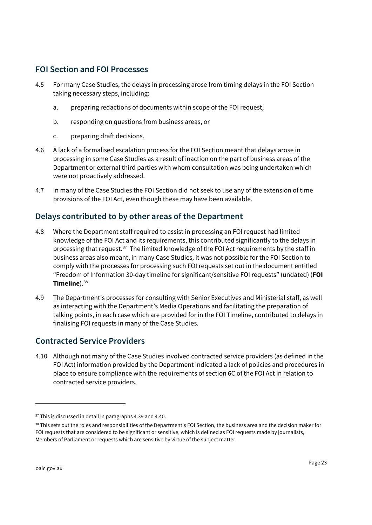### **FOI Section and FOI Processes**

- 4.5 For many Case Studies, the delays in processing arose from timing delays in the FOI Section taking necessary steps, including:
	- a. preparing redactions of documents within scope of the FOI request,
	- b. responding on questions from business areas, or
	- c. preparing draft decisions.
- 4.6 A lack of a formalised escalation process for the FOI Section meant that delays arose in processing in some Case Studies as a result of inaction on the part of business areas of the Department or external third parties with whom consultation was being undertaken which were not proactively addressed.
- 4.7 In many of the Case Studies the FOI Section did not seek to use any of the extension of time provisions of the FOI Act, even though these may have been available.

### **Delays contributed to by other areas of the Department**

- 4.8 Where the Department staff required to assist in processing an FOI request had limited knowledge of the FOI Act and its requirements, this contributed significantly to the delays in processing that request. $37$  The limited knowledge of the FOI Act requirements by the staff in business areas also meant, in many Case Studies, it was not possible for the FOI Section to comply with the processes for processing such FOI requests set out in the document entitled "Freedom of Information 30-day timeline for significant/sensitive FOI requests" (undated) (**FOI Timeline**).[38](#page-25-1)
- 4.9 The Department's processes for consulting with Senior Executives and Ministerial staff, as well as interacting with the Department's Media Operations and facilitating the preparation of talking points, in each case which are provided for in the FOI Timeline, contributed to delays in finalising FOI requests in many of the Case Studies.

### **Contracted Service Providers**

4.10 Although not many of the Case Studies involved contracted service providers (as defined in the FOI Act) information provided by the Department indicated a lack of policies and procedures in place to ensure compliance with the requirements of section 6C of the FOI Act in relation to contracted service providers.

<span id="page-25-0"></span> $37$  This is discussed in detail in paragraphs 4.39 and 4.40.

<span id="page-25-1"></span><sup>&</sup>lt;sup>38</sup> This sets out the roles and responsibilities of the Department's FOI Section, the business area and the decision maker for FOI requests that are considered to be significant or sensitive, which is defined as FOI requests made by journalists, Members of Parliament or requests which are sensitive by virtue of the subject matter.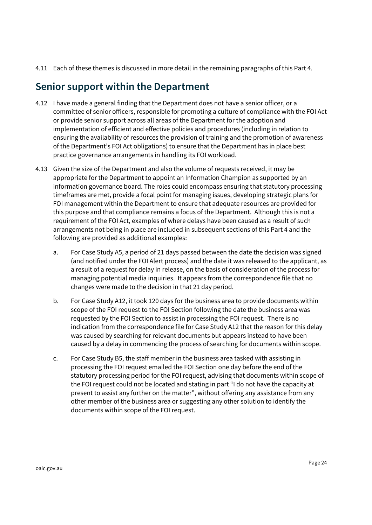4.11 Each of these themes is discussed in more detail in the remaining paragraphs of this Part 4.

### <span id="page-26-0"></span>**Senior support within the Department**

- 4.12 I have made a general finding that the Department does not have a senior officer, or a committee of senior officers, responsible for promoting a culture of compliance with the FOI Act or provide senior support across all areas of the Department for the adoption and implementation of efficient and effective policies and procedures (including in relation to ensuring the availability of resources the provision of training and the promotion of awareness of the Department's FOI Act obligations) to ensure that the Department has in place best practice governance arrangements in handling its FOI workload.
- 4.13 Given the size of the Department and also the volume of requests received, it may be appropriate for the Department to appoint an Information Champion as supported by an information governance board. The roles could encompass ensuring that statutory processing timeframes are met, provide a focal point for managing issues, developing strategic plans for FOI management within the Department to ensure that adequate resources are provided for this purpose and that compliance remains a focus of the Department. Although this is not a requirement of the FOI Act, examples of where delays have been caused as a result of such arrangements not being in place are included in subsequent sections of this Part 4 and the following are provided as additional examples:
	- a. For Case Study A5, a period of 21 days passed between the date the decision was signed (and notified under the FOI Alert process) and the date it was released to the applicant, as a result of a request for delay in release, on the basis of consideration of the process for managing potential media inquiries. It appears from the correspondence file that no changes were made to the decision in that 21 day period.
	- b. For Case Study A12, it took 120 days for the business area to provide documents within scope of the FOI request to the FOI Section following the date the business area was requested by the FOI Section to assist in processing the FOI request. There is no indication from the correspondence file for Case Study A12 that the reason for this delay was caused by searching for relevant documents but appears instead to have been caused by a delay in commencing the process of searching for documents within scope.
	- c. For Case Study B5, the staff member in the business area tasked with assisting in processing the FOI request emailed the FOI Section one day before the end of the statutory processing period for the FOI request, advising that documents within scope of the FOI request could not be located and stating in part "I do not have the capacity at present to assist any further on the matter", without offering any assistance from any other member of the business area or suggesting any other solution to identify the documents within scope of the FOI request.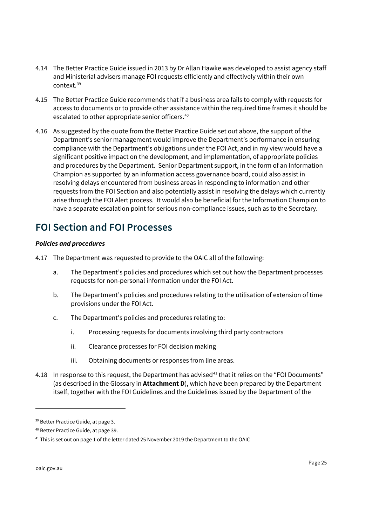- 4.14 The Better Practice Guide issued in 2013 by Dr Allan Hawke was developed to assist agency staff and Ministerial advisers manage FOI requests efficiently and effectively within their own context. [39](#page-27-1)
- 4.15 The Better Practice Guide recommends that if a business area fails to comply with requests for access to documents or to provide other assistance within the required time frames it should be escalated to other appropriate senior officers.<sup>[40](#page-27-2)</sup>
- 4.16 As suggested by the quote from the Better Practice Guide set out above, the support of the Department's senior management would improve the Department's performance in ensuring compliance with the Department's obligations under the FOI Act, and in my view would have a significant positive impact on the development, and implementation, of appropriate policies and procedures by the Department. Senior Department support, in the form of an Information Champion as supported by an information access governance board, could also assist in resolving delays encountered from business areas in responding to information and other requests from the FOI Section and also potentially assist in resolving the delays which currently arise through the FOI Alert process. It would also be beneficial for the Information Champion to have a separate escalation point for serious non-compliance issues, such as to the Secretary.

### <span id="page-27-0"></span>**FOI Section and FOI Processes**

#### *Policies and procedures*

- 4.17 The Department was requested to provide to the OAIC all of the following:
	- a. The Department's policies and procedures which set out how the Department processes requests for non-personal information under the FOI Act.
	- b. The Department's policies and procedures relating to the utilisation of extension of time provisions under the FOI Act.
	- c. The Department's policies and procedures relating to:
		- i. Processing requests for documents involving third party contractors
		- ii. Clearance processes for FOI decision making
		- iii. Obtaining documents or responses from line areas.
- 4.18 In response to this request, the Department has advised<sup>[41](#page-27-3)</sup> that it relies on the "FOI Documents" (as described in the Glossary in **Attachment D**), which have been prepared by the Department itself, together with the FOI Guidelines and the Guidelines issued by the Department of the

<span id="page-27-1"></span><sup>39</sup> Better Practice Guide, at page 3.

<span id="page-27-2"></span><sup>40</sup> Better Practice Guide, at page 39.

<span id="page-27-3"></span><sup>&</sup>lt;sup>41</sup> This is set out on page 1 of the letter dated 25 November 2019 the Department to the OAIC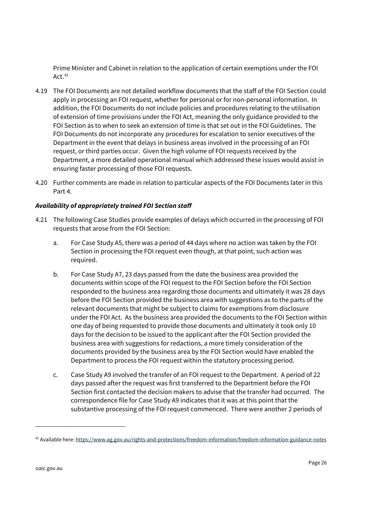Prime Minister and Cabinet in relation to the application of certain exemptions under the FOI Act. $42$ 

- 4.19 The FOI Documents are not detailed workflow documents that the staff of the FOI Section could apply in processing an FOI request, whether for personal or for non-personal information. In addition, the FOI Documents do not include policies and procedures relating to the utilisation of extension of time provisions under the FOI Act, meaning the only guidance provided to the FOI Section as to when to seek an extension of time is that set out in the FOI Guidelines. The FOI Documents do not incorporate any procedures for escalation to senior executives of the Department in the event that delays in business areas involved in the processing of an FOI request, or third parties occur. Given the high volume of FOI requests received by the Department, a more detailed operational manual which addressed these issues would assist in ensuring faster processing of those FOI requests.
- 4.20 Further comments are made in relation to particular aspects of the FOI Documents later in this Part 4.

#### *Availability of appropriately trained FOI Section staff*

- 4.21 The following Case Studies provide examples of delays which occurred in the processing of FOI requests that arose from the FOI Section:
	- a. For Case Study A5, there was a period of 44 days where no action was taken by the FOI Section in processing the FOI request even though, at that point, such action was required.
	- b. For Case Study A7, 23 days passed from the date the business area provided the documents within scope of the FOI request to the FOI Section before the FOI Section responded to the business area regarding those documents and ultimately it was 28 days before the FOI Section provided the business area with suggestions as to the parts of the relevant documents that might be subject to claims for exemptions from disclosure under the FOI Act. As the business area provided the documents to the FOI Section within one day of being requested to provide those documents and ultimately it took only 10 days for the decision to be issued to the applicant after the FOI Section provided the business area with suggestions for redactions, a more timely consideration of the documents provided by the business area by the FOI Section would have enabled the Department to process the FOI request within the statutory processing period.
	- c. Case Study A9 involved the transfer of an FOI request to the Department. A period of 22 days passed after the request was first transferred to the Department before the FOI Section first contacted the decision makers to advise that the transfer had occurred. The correspondence file for Case Study A9 indicates that it was at this point that the substantive processing of the FOI request commenced. There were another 2 periods of

<span id="page-28-0"></span><sup>42</sup> Available here: <https://www.ag.gov.au/rights-and-protections/freedom-information/freedom-information-guidance-notes>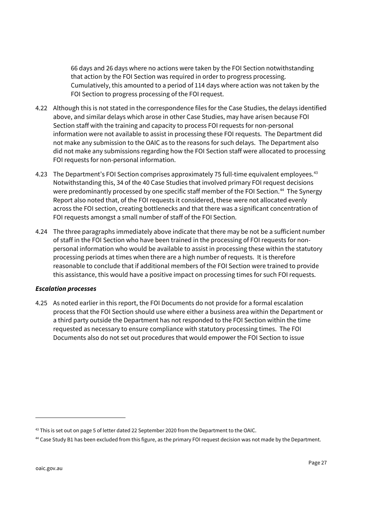66 days and 26 days where no actions were taken by the FOI Section notwithstanding that action by the FOI Section was required in order to progress processing. Cumulatively, this amounted to a period of 114 days where action was not taken by the FOI Section to progress processing of the FOI request.

- 4.22 Although this is not stated in the correspondence files for the Case Studies, the delays identified above, and similar delays which arose in other Case Studies, may have arisen because FOI Section staff with the training and capacity to process FOI requests for non-personal information were not available to assist in processing these FOI requests. The Department did not make any submission to the OAIC as to the reasons for such delays. The Department also did not make any submissions regarding how the FOI Section staff were allocated to processing FOI requests for non-personal information.
- 4.23 The Department's FOI Section comprises approximately 75 full-time equivalent employees.<sup>43</sup> Notwithstanding this, 34 of the 40 Case Studies that involved primary FOI request decisions were predominantly processed by one specific staff member of the FOI Section.<sup>44</sup> The Synergy Report also noted that, of the FOI requests it considered, these were not allocated evenly across the FOI section, creating bottlenecks and that there was a significant concentration of FOI requests amongst a small number of staff of the FOI Section.
- 4.24 The three paragraphs immediately above indicate that there may be not be a sufficient number of staff in the FOI Section who have been trained in the processing of FOI requests for nonpersonal information who would be available to assist in processing these within the statutory processing periods at times when there are a high number of requests. It is therefore reasonable to conclude that if additional members of the FOI Section were trained to provide this assistance, this would have a positive impact on processing times for such FOI requests.

#### *Escalation processes*

4.25 As noted earlier in this report, the FOI Documents do not provide for a formal escalation process that the FOI Section should use where either a business area within the Department or a third party outside the Department has not responded to the FOI Section within the time requested as necessary to ensure compliance with statutory processing times. The FOI Documents also do not set out procedures that would empower the FOI Section to issue

<span id="page-29-0"></span><sup>&</sup>lt;sup>43</sup> This is set out on page 5 of letter dated 22 September 2020 from the Department to the OAIC.

<span id="page-29-1"></span><sup>44</sup> Case Study B1 has been excluded from this figure, as the primary FOI request decision was not made by the Department.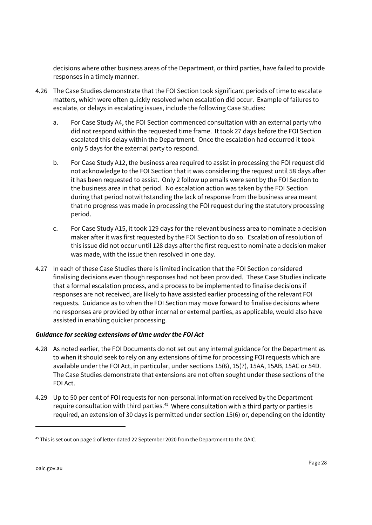decisions where other business areas of the Department, or third parties, have failed to provide responses in a timely manner.

- 4.26 The Case Studies demonstrate that the FOI Section took significant periods of time to escalate matters, which were often quickly resolved when escalation did occur. Example of failures to escalate, or delays in escalating issues, include the following Case Studies:
	- a. For Case Study A4, the FOI Section commenced consultation with an external party who did not respond within the requested time frame. It took 27 days before the FOI Section escalated this delay within the Department. Once the escalation had occurred it took only 5 days for the external party to respond.
	- b. For Case Study A12, the business area required to assist in processing the FOI request did not acknowledge to the FOI Section that it was considering the request until 58 days after it has been requested to assist. Only 2 follow up emails were sent by the FOI Section to the business area in that period. No escalation action was taken by the FOI Section during that period notwithstanding the lack of response from the business area meant that no progress was made in processing the FOI request during the statutory processing period.
	- c. For Case Study A15, it took 129 days for the relevant business area to nominate a decision maker after it was first requested by the FOI Section to do so. Escalation of resolution of this issue did not occur until 128 days after the first request to nominate a decision maker was made, with the issue then resolved in one day.
- 4.27 In each of these Case Studies there is limited indication that the FOI Section considered finalising decisions even though responses had not been provided. These Case Studies indicate that a formal escalation process, and a process to be implemented to finalise decisions if responses are not received, are likely to have assisted earlier processing of the relevant FOI requests. Guidance as to when the FOI Section may move forward to finalise decisions where no responses are provided by other internal or external parties, as applicable, would also have assisted in enabling quicker processing.

#### *Guidance for seeking extensions of time under the FOI Act*

- 4.28 As noted earlier, the FOI Documents do not set out any internal guidance for the Department as to when it should seek to rely on any extensions of time for processing FOI requests which are available under the FOI Act, in particular, under sections 15(6), 15(7), 15AA, 15AB, 15AC or 54D. The Case Studies demonstrate that extensions are not often sought under these sections of the FOI Act.
- 4.29 Up to 50 per cent of FOI requests for non-personal information received by the Department require consultation with third parties.<sup>45</sup> Where consultation with a third party or parties is required, an extension of 30 days is permitted under section 15(6) or, depending on the identity

<span id="page-30-0"></span><sup>&</sup>lt;sup>45</sup> This is set out on page 2 of letter dated 22 September 2020 from the Department to the OAIC.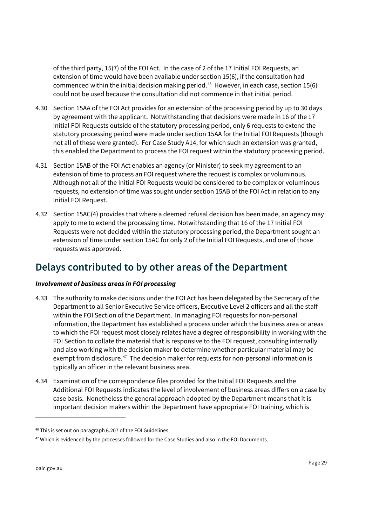of the third party, 15(7) of the FOI Act. In the case of 2 of the 17 Initial FOI Requests, an extension of time would have been available under section 15(6), if the consultation had commenced within the initial decision making period.<sup>46</sup> However, in each case, section  $15(6)$ could not be used because the consultation did not commence in that initial period.

- 4.30 Section 15AA of the FOI Act provides for an extension of the processing period by up to 30 days by agreement with the applicant. Notwithstanding that decisions were made in 16 of the 17 Initial FOI Requests outside of the statutory processing period, only 6 requests to extend the statutory processing period were made under section 15AA for the Initial FOI Requests (though not all of these were granted). For Case Study A14, for which such an extension was granted, this enabled the Department to process the FOI request within the statutory processing period.
- 4.31 Section 15AB of the FOI Act enables an agency (or Minister) to seek my agreement to an extension of time to process an FOI request where the request is complex or voluminous. Although not all of the Initial FOI Requests would be considered to be complex or voluminous requests, no extension of time was sought under section 15AB of the FOI Act in relation to any Initial FOI Request.
- 4.32 Section 15AC(4) provides that where a deemed refusal decision has been made, an agency may apply to me to extend the processing time. Notwithstanding that 16 of the 17 Initial FOI Requests were not decided within the statutory processing period, the Department sought an extension of time under section 15AC for only 2 of the Initial FOI Requests, and one of those requests was approved.

### <span id="page-31-0"></span>**Delays contributed to by other areas of the Department**

#### *Involvement of business areas in FOI processing*

- 4.33 The authority to make decisions under the FOI Act has been delegated by the Secretary of the Department to all Senior Executive Service officers, Executive Level 2 officers and all the staff within the FOI Section of the Department. In managing FOI requests for non-personal information, the Department has established a process under which the business area or areas to which the FOI request most closely relates have a degree of responsibility in working with the FOI Section to collate the material that is responsive to the FOI request, consulting internally and also working with the decision maker to determine whether particular material may be exempt from disclosure.<sup>[47](#page-31-2)</sup> The decision maker for requests for non-personal information is typically an officer in the relevant business area.
- 4.34 Examination of the correspondence files provided for the Initial FOI Requests and the Additional FOI Requests indicates the level of involvement of business areas differs on a case by case basis. Nonetheless the general approach adopted by the Department means that it is important decision makers within the Department have appropriate FOI training, which is

<span id="page-31-1"></span><sup>46</sup> This is set out on paragraph 6.207 of the FOI Guidelines.

<span id="page-31-2"></span><sup>&</sup>lt;sup>47</sup> Which is evidenced by the processes followed for the Case Studies and also in the FOI Documents.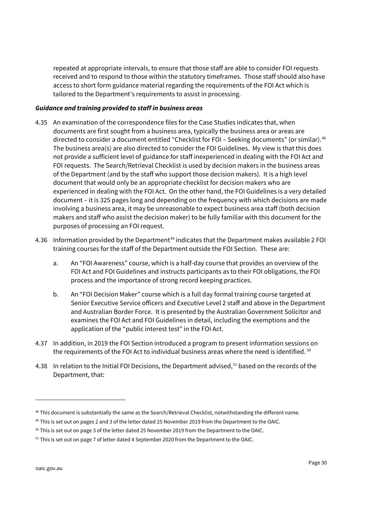repeated at appropriate intervals, to ensure that those staff are able to consider FOI requests received and to respond to those within the statutory timeframes. Those staff should also have access to short form guidance material regarding the requirements of the FOI Act which is tailored to the Department's requirements to assist in processing.

#### *Guidance and training provided to staff in business areas*

- 4.35 An examination of the correspondence files for the Case Studies indicates that, when documents are first sought from a business area, typically the business area or areas are directed to consider a document entitled "Checklist for FOI - Seeking documents" (or similar).<sup>48</sup> The business area(s) are also directed to consider the FOI Guidelines. My view is that this does not provide a sufficient level of guidance for staff inexperienced in dealing with the FOI Act and FOI requests. The Search/Retrieval Checklist is used by decision makers in the business areas of the Department (and by the staff who support those decision makers). It is a high level document that would only be an appropriate checklist for decision makers who are experienced in dealing with the FOI Act. On the other hand, the FOI Guidelines is a very detailed document – it is 325 pages long and depending on the frequency with which decisions are made involving a business area, it may be unreasonable to expect business area staff (both decision makers and staff who assist the decision maker) to be fully familiar with this document for the purposes of processing an FOI request.
- 4.36 Information provided by the Department<sup>[49](#page-32-1)</sup> indicates that the Department makes available 2 FOI training courses for the staff of the Department outside the FOI Section. These are:
	- a. An "FOI Awareness" course, which is a half-day course that provides an overview of the FOI Act and FOI Guidelines and instructs participants as to their FOI obligations, the FOI process and the importance of strong record keeping practices.
	- b. An "FOI Decision Maker" course which is a full day formal training course targeted at Senior Executive Service officers and Executive Level 2 staff and above in the Department and Australian Border Force. It is presented by the Australian Government Solicitor and examines the FOI Act and FOI Guidelines in detail, including the exemptions and the application of the "public interest test" in the FOI Act.
- 4.37 In addition, in 2019 the FOI Section introduced a program to present information sessions on the requirements of the FOI Act to individual business areas where the need is identified.  $50$
- 4.38 In relation to the Initial FOI Decisions, the Department advised,<sup>[51](#page-32-3)</sup> based on the records of the Department, that:

<span id="page-32-0"></span><sup>&</sup>lt;sup>48</sup> This document is substantially the same as the Search/Retrieval Checklist, notwithstanding the different name.

<span id="page-32-1"></span><sup>&</sup>lt;sup>49</sup> This is set out on pages 2 and 3 of the letter dated 25 November 2019 from the Department to the OAIC.

<span id="page-32-2"></span><sup>&</sup>lt;sup>50</sup> This is set out on page 3 of the letter dated 25 November 2019 from the Department to the OAIC.

<span id="page-32-3"></span><sup>&</sup>lt;sup>51</sup> This is set out on page 7 of letter dated 4 September 2020 from the Department to the OAIC.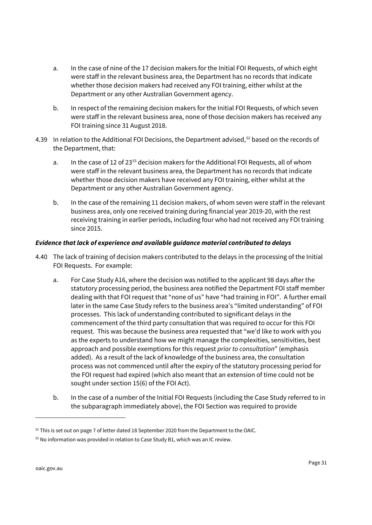- a. In the case of nine of the 17 decision makers for the Initial FOI Requests, of which eight were staff in the relevant business area, the Department has no records that indicate whether those decision makers had received any FOI training, either whilst at the Department or any other Australian Government agency.
- b. In respect of the remaining decision makers for the Initial FOI Requests, of which seven were staff in the relevant business area, none of those decision makers has received any FOI training since 31 August 2018.
- 4.39 In relation to the Additional FOI Decisions, the Department advised,<sup>[52](#page-33-0)</sup> based on the records of the Department, that:
	- a. In the case of 12 of 23<sup>[53](#page-33-1)</sup> decision makers for the Additional FOI Requests, all of whom were staff in the relevant business area, the Department has no records that indicate whether those decision makers have received any FOI training, either whilst at the Department or any other Australian Government agency.
	- b. In the case of the remaining 11 decision makers, of whom seven were staff in the relevant business area, only one received training during financial year 2019-20, with the rest receiving training in earlier periods, including four who had not received any FOI training since 2015.

#### *Evidence that lack of experience and available guidance material contributed to delays*

- 4.40 The lack of training of decision makers contributed to the delays in the processing of the Initial FOI Requests. For example:
	- a. For Case Study A16, where the decision was notified to the applicant 98 days after the statutory processing period, the business area notified the Department FOI staff member dealing with that FOI request that "none of us" have "had training in FOI". A further email later in the same Case Study refers to the business area's "limited understanding" of FOI processes. This lack of understanding contributed to significant delays in the commencement of the third party consultation that was required to occur for this FOI request. This was because the business area requested that "we'd like to work with you as the experts to understand how we might manage the complexities, sensitivities, best approach and possible exemptions for this request *prior to consultation*" (emphasis added). As a result of the lack of knowledge of the business area, the consultation process was not commenced until after the expiry of the statutory processing period for the FOI request had expired (which also meant that an extension of time could not be sought under section 15(6) of the FOI Act).
	- b. In the case of a number of the Initial FOI Requests (including the Case Study referred to in the subparagraph immediately above), the FOI Section was required to provide

<span id="page-33-0"></span><sup>&</sup>lt;sup>52</sup> This is set out on page 7 of letter dated 18 September 2020 from the Department to the OAIC.

<span id="page-33-1"></span><sup>53</sup> No information was provided in relation to Case Study B1, which was an IC review.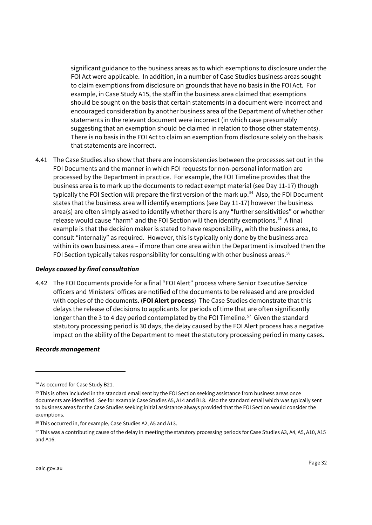significant guidance to the business areas as to which exemptions to disclosure under the FOI Act were applicable. In addition, in a number of Case Studies business areas sought to claim exemptions from disclosure on grounds that have no basis in the FOI Act. For example, in Case Study A15, the staff in the business area claimed that exemptions should be sought on the basis that certain statements in a document were incorrect and encouraged consideration by another business area of the Department of whether other statements in the relevant document were incorrect (in which case presumably suggesting that an exemption should be claimed in relation to those other statements). There is no basis in the FOI Act to claim an exemption from disclosure solely on the basis that statements are incorrect.

4.41 The Case Studies also show that there are inconsistencies between the processes set out in the FOI Documents and the manner in which FOI requests for non-personal information are processed by the Department in practice. For example, the FOI Timeline provides that the business area is to mark up the documents to redact exempt material (see Day 11-17) though typically the FOI Section will prepare the first version of the mark up.<sup>[54](#page-34-0)</sup> Also, the FOI Document states that the business area will identify exemptions (see Day 11-17) however the business area(s) are often simply asked to identify whether there is any "further sensitivities" or whether release would cause "harm" and the FOI Section will then identify exemptions.[55](#page-34-1) A final example is that the decision maker is stated to have responsibility, with the business area, to consult "internally" as required. However, this is typically only done by the business area within its own business area – if more than one area within the Department is involved then the FOI Section typically takes responsibility for consulting with other business areas.<sup>[56](#page-34-2)</sup>

#### *Delays caused by final consultation*

4.42 The FOI Documents provide for a final "FOI Alert" process where Senior Executive Service officers and Ministers' offices are notified of the documents to be released and are provided with copies of the documents. (**FOI Alert process**) The Case Studies demonstrate that this delays the release of decisions to applicants for periods of time that are often significantly longer than the 3 to 4 day period contemplated by the FOI Timeline.<sup>57</sup> Given the standard statutory processing period is 30 days, the delay caused by the FOI Alert process has a negative impact on the ability of the Department to meet the statutory processing period in many cases.

#### *Records management*

<span id="page-34-0"></span><sup>54</sup> As occurred for Case Study B21.

<span id="page-34-1"></span><sup>&</sup>lt;sup>55</sup> This is often included in the standard email sent by the FOI Section seeking assistance from business areas once documents are identified. See for example Case Studies A5, A14 and B18. Also the standard email which was typically sent to business areas for the Case Studies seeking initial assistance always provided that the FOI Section would consider the exemptions.

<span id="page-34-2"></span><sup>56</sup> This occurred in, for example, Case Studies A2, A5 and A13.

<span id="page-34-3"></span><sup>&</sup>lt;sup>57</sup> This was a contributing cause of the delay in meeting the statutory processing periods for Case Studies A3, A4, A5, A10, A15 and A16.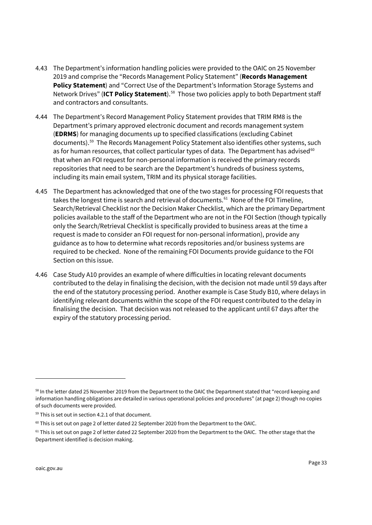- 4.43 The Department's information handling policies were provided to the OAIC on 25 November 2019 and comprise the "Records Management Policy Statement" (**Records Management Policy Statement**) and "Correct Use of the Department's Information Storage Systems and Network Drives" (ICT Policy Statement).<sup>[58](#page-35-0)</sup> Those two policies apply to both Department staff and contractors and consultants.
- 4.44 The Department's Record Management Policy Statement provides that TRIM RM8 is the Department's primary approved electronic document and records management system (**EDRMS**) for managing documents up to specified classifications (excluding Cabinet documents).<sup>[59](#page-35-1)</sup> The Records Management Policy Statement also identifies other systems, such as for human resources, that collect particular types of data. The Department has advised<sup>[60](#page-35-2)</sup> that when an FOI request for non-personal information is received the primary records repositories that need to be search are the Department's hundreds of business systems, including its main email system, TRIM and its physical storage facilities.
- 4.45 The Department has acknowledged that one of the two stages for processing FOI requests that takes the longest time is search and retrieval of documents.<sup>[61](#page-35-3)</sup> None of the FOI Timeline, Search/Retrieval Checklist nor the Decision Maker Checklist, which are the primary Department policies available to the staff of the Department who are not in the FOI Section (though typically only the Search/Retrieval Checklist is specifically provided to business areas at the time a request is made to consider an FOI request for non-personal information), provide any guidance as to how to determine what records repositories and/or business systems are required to be checked. None of the remaining FOI Documents provide guidance to the FOI Section on this issue.
- 4.46 Case Study A10 provides an example of where difficulties in locating relevant documents contributed to the delay in finalising the decision, with the decision not made until 59 days after the end of the statutory processing period. Another example is Case Study B10, where delays in identifying relevant documents within the scope of the FOI request contributed to the delay in finalising the decision. That decision was not released to the applicant until 67 days after the expiry of the statutory processing period.

<span id="page-35-0"></span><sup>&</sup>lt;sup>58</sup> In the letter dated 25 November 2019 from the Department to the OAIC the Department stated that "record keeping and information handling obligations are detailed in various operational policies and procedures" (at page 2) though no copies of such documents were provided.

<span id="page-35-1"></span><sup>59</sup> This is set out in section 4.2.1 of that document.

<span id="page-35-2"></span> $60$  This is set out on page 2 of letter dated 22 September 2020 from the Department to the OAIC.

<span id="page-35-3"></span><sup>&</sup>lt;sup>61</sup> This is set out on page 2 of letter dated 22 September 2020 from the Department to the OAIC. The other stage that the Department identified is decision making.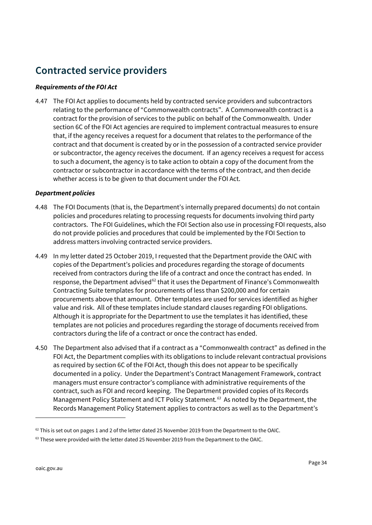## <span id="page-36-0"></span>**Contracted service providers**

#### *Requirements of the FOI Act*

4.47 The FOI Act applies to documents held by contracted service providers and subcontractors relating to the performance of "Commonwealth contracts". A Commonwealth contract is a contract for the provision of services to the public on behalf of the Commonwealth. Under section 6C of the FOI Act agencies are required to implement contractual measures to ensure that, if the agency receives a request for a document that relates to the performance of the contract and that document is created by or in the possession of a contracted service provider or subcontractor, the agency receives the document. If an agency receives a request for access to such a document, the agency is to take action to obtain a copy of the document from the contractor or subcontractor in accordance with the terms of the contract, and then decide whether access is to be given to that document under the FOI Act.

#### *Department policies*

- 4.48 The FOI Documents (that is, the Department's internally prepared documents) do not contain policies and procedures relating to processing requests for documents involving third party contractors. The FOI Guidelines, which the FOI Section also use in processing FOI requests, also do not provide policies and procedures that could be implemented by the FOI Section to address matters involving contracted service providers.
- 4.49 In my letter dated 25 October 2019, I requested that the Department provide the OAIC with copies of the Department's policies and procedures regarding the storage of documents received from contractors during the life of a contract and once the contract has ended. In response, the Department advised $62$  that it uses the Department of Finance's Commonwealth Contracting Suite templates for procurements of less than \$200,000 and for certain procurements above that amount. Other templates are used for services identified as higher value and risk. All of these templates include standard clauses regarding FOI obligations. Although it is appropriate for the Department to use the templates it has identified, these templates are not policies and procedures regarding the storage of documents received from contractors during the life of a contract or once the contract has ended.
- 4.50 The Department also advised that if a contract as a "Commonwealth contract" as defined in the FOI Act, the Department complies with its obligations to include relevant contractual provisions as required by section 6C of the FOI Act, though this does not appear to be specifically documented in a policy. Under the Department's Contract Management Framework, contract managers must ensure contractor's compliance with administrative requirements of the contract, such as FOI and record keeping. The Department provided copies of its Records Management Policy Statement and ICT Policy Statement*. [63](#page-36-2)* As noted by the Department, the Records Management Policy Statement applies to contractors as well as to the Department's

<span id="page-36-1"></span> $62$  This is set out on pages 1 and 2 of the letter dated 25 November 2019 from the Department to the OAIC.

<span id="page-36-2"></span><sup>&</sup>lt;sup>63</sup> These were provided with the letter dated 25 November 2019 from the Department to the OAIC.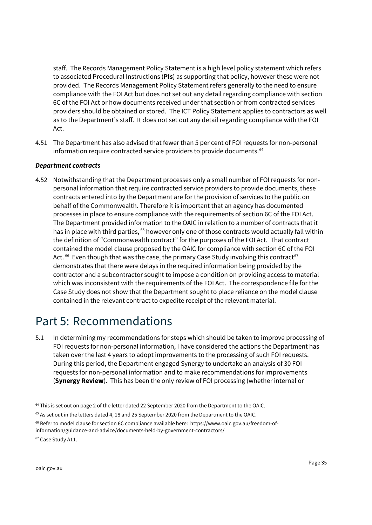staff. The Records Management Policy Statement is a high level policy statement which refers to associated Procedural Instructions (**PIs**) as supporting that policy, however these were not provided. The Records Management Policy Statement refers generally to the need to ensure compliance with the FOI Act but does not set out any detail regarding compliance with section 6C of the FOI Act or how documents received under that section or from contracted services providers should be obtained or stored. The ICT Policy Statement applies to contractors as well as to the Department's staff. It does not set out any detail regarding compliance with the FOI Act.

4.51 The Department has also advised that fewer than 5 per cent of FOI requests for non-personal information require contracted service providers to provide documents.<sup>[64](#page-37-1)</sup>

#### *Department contracts*

4.52 Notwithstanding that the Department processes only a small number of FOI requests for nonpersonal information that require contracted service providers to provide documents, these contracts entered into by the Department are for the provision of services to the public on behalf of the Commonwealth. Therefore it is important that an agency has documented processes in place to ensure compliance with the requirements of section 6C of the FOI Act. The Department provided information to the OAIC in relation to a number of contracts that it has in place with third parties, <sup>[65](#page-37-2)</sup> however only one of those contracts would actually fall within the definition of "Commonwealth contract" for the purposes of the FOI Act. That contract contained the model clause proposed by the OAIC for compliance with section 6C of the FOI Act.  $^{66}$  Even though that was the case, the primary Case Study involving this contract  $^{67}$  $^{67}$  $^{67}$ demonstrates that there were delays in the required information being provided by the contractor and a subcontractor sought to impose a condition on providing access to material which was inconsistent with the requirements of the FOI Act. The correspondence file for the Case Study does not show that the Department sought to place reliance on the model clause contained in the relevant contract to expedite receipt of the relevant material.

# <span id="page-37-0"></span>Part 5: Recommendations

5.1 In determining my recommendations for steps which should be taken to improve processing of FOI requests for non-personal information, I have considered the actions the Department has taken over the last 4 years to adopt improvements to the processing of such FOI requests. During this period, the Department engaged Synergy to undertake an analysis of 30 FOI requests for non-personal information and to make recommendations for improvements (**Synergy Review**). This has been the only review of FOI processing (whether internal or

<span id="page-37-1"></span><sup>&</sup>lt;sup>64</sup> This is set out on page 2 of the letter dated 22 September 2020 from the Department to the OAIC.

<span id="page-37-2"></span><sup>&</sup>lt;sup>65</sup> As set out in the letters dated 4, 18 and 25 September 2020 from the Department to the OAIC.

<span id="page-37-3"></span><sup>66</sup> Refer to model clause for section 6C compliance available here: https://www.oaic.gov.au/freedom-ofinformation/guidance-and-advice/documents-held-by-government-contractors/

<span id="page-37-4"></span><sup>&</sup>lt;sup>67</sup> Case Study A11.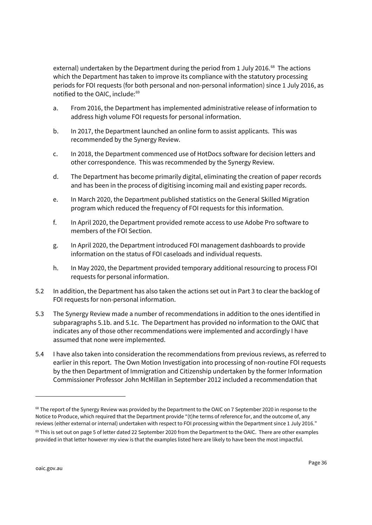external) undertaken by the Department during the period from 1 July 2016.<sup>68</sup> The actions which the Department has taken to improve its compliance with the statutory processing periods for FOI requests (for both personal and non-personal information) since 1 July 2016, as notified to the OAIC, include:<sup>[69](#page-38-1)</sup>

- a. From 2016, the Department has implemented administrative release of information to address high volume FOI requests for personal information.
- b. In 2017, the Department launched an online form to assist applicants. This was recommended by the Synergy Review.
- c. In 2018, the Department commenced use of HotDocs software for decision letters and other correspondence. This was recommended by the Synergy Review.
- d. The Department has become primarily digital, eliminating the creation of paper records and has been in the process of digitising incoming mail and existing paper records.
- e. In March 2020, the Department published statistics on the General Skilled Migration program which reduced the frequency of FOI requests for this information.
- f. In April 2020, the Department provided remote access to use Adobe Pro software to members of the FOI Section.
- g. In April 2020, the Department introduced FOI management dashboards to provide information on the status of FOI caseloads and individual requests.
- h. In May 2020, the Department provided temporary additional resourcing to process FOI requests for personal information.
- 5.2 In addition, the Department has also taken the actions set out in Part 3 to clear the backlog of FOI requests for non-personal information.
- 5.3 The Synergy Review made a number of recommendations in addition to the ones identified in subparagraphs 5.1b. and 5.1c. The Department has provided no information to the OAIC that indicates any of those other recommendations were implemented and accordingly I have assumed that none were implemented.
- 5.4 I have also taken into consideration the recommendations from previous reviews, as referred to earlier in this report. The Own Motion Investigation into processing of non-routine FOI requests by the then Department of Immigration and Citizenship undertaken by the former Information Commissioner Professor John McMillan in September 2012 included a recommendation that

<span id="page-38-0"></span><sup>&</sup>lt;sup>68</sup> The report of the Synergy Review was provided by the Department to the OAIC on 7 September 2020 in response to the Notice to Produce, which required that the Department provide "(t)he terms of reference for, and the outcome of, any reviews (either external or internal) undertaken with respect to FOI processing within the Department since 1 July 2016."

<span id="page-38-1"></span> $69$  This is set out on page 5 of letter dated 22 September 2020 from the Department to the OAIC. There are other examples provided in that letter however my view is that the examples listed here are likely to have been the most impactful.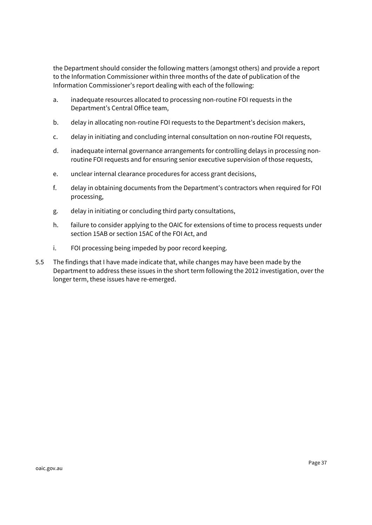the Department should consider the following matters (amongst others) and provide a report to the Information Commissioner within three months of the date of publication of the Information Commissioner's report dealing with each of the following:

- a. inadequate resources allocated to processing non-routine FOI requests in the Department's Central Office team,
- b. delay in allocating non-routine FOI requests to the Department's decision makers,
- c. delay in initiating and concluding internal consultation on non-routine FOI requests,
- d. inadequate internal governance arrangements for controlling delays in processing nonroutine FOI requests and for ensuring senior executive supervision of those requests,
- e. unclear internal clearance procedures for access grant decisions,
- f. delay in obtaining documents from the Department's contractors when required for FOI processing,
- g. delay in initiating or concluding third party consultations,
- h. failure to consider applying to the OAIC for extensions of time to process requests under section 15AB or section 15AC of the FOI Act, and
- i. FOI processing being impeded by poor record keeping.
- 5.5 The findings that I have made indicate that, while changes may have been made by the Department to address these issues in the short term following the 2012 investigation, over the longer term, these issues have re-emerged.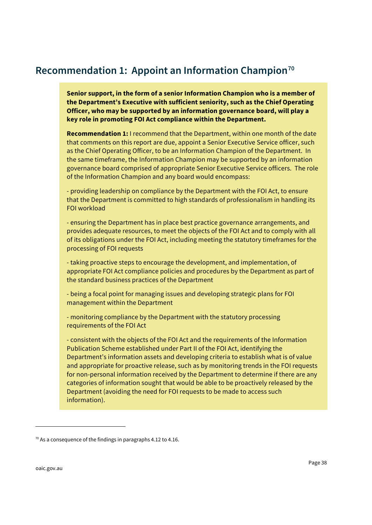### <span id="page-40-0"></span>**Recommendation 1: Appoint an Information Champion[70](#page-40-1)**

**Senior support, in the form of a senior Information Champion who is a member of the Department's Executive with sufficient seniority, such as the Chief Operating Officer, who may be supported by an information governance board, will play a key role in promoting FOI Act compliance within the Department.**

**Recommendation 1:** I recommend that the Department, within one month of the date that comments on this report are due, appoint a Senior Executive Service officer, such as the Chief Operating Officer, to be an Information Champion of the Department. In the same timeframe, the Information Champion may be supported by an information governance board comprised of appropriate Senior Executive Service officers. The role of the Information Champion and any board would encompass:

- providing leadership on compliance by the Department with the FOI Act, to ensure that the Department is committed to high standards of professionalism in handling its FOI workload

- ensuring the Department has in place best practice governance arrangements, and provides adequate resources, to meet the objects of the FOI Act and to comply with all of its obligations under the FOI Act, including meeting the statutory timeframes for the processing of FOI requests

- taking proactive steps to encourage the development, and implementation, of appropriate FOI Act compliance policies and procedures by the Department as part of the standard business practices of the Department

- being a focal point for managing issues and developing strategic plans for FOI management within the Department

- monitoring compliance by the Department with the statutory processing requirements of the FOI Act

- consistent with the objects of the FOI Act and the requirements of the Information Publication Scheme established under Part II of the FOI Act, identifying the Department's information assets and developing criteria to establish what is of value and appropriate for proactive release, such as by monitoring trends in the FOI requests for non-personal information received by the Department to determine if there are any categories of information sought that would be able to be proactively released by the Department (avoiding the need for FOI requests to be made to access such information).

<span id="page-40-1"></span> $70$  As a consequence of the findings in paragraphs 4.12 to 4.16.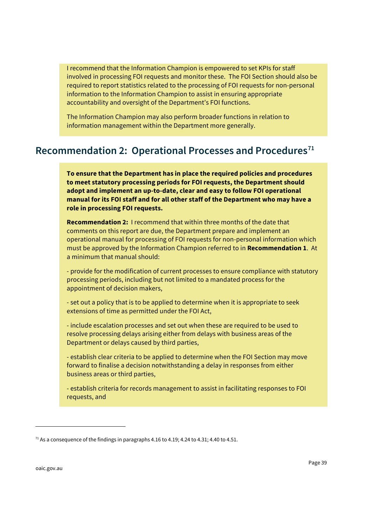I recommend that the Information Champion is empowered to set KPIs for staff involved in processing FOI requests and monitor these. The FOI Section should also be required to report statistics related to the processing of FOI requests for non-personal information to the Information Champion to assist in ensuring appropriate accountability and oversight of the Department's FOI functions.

The Information Champion may also perform broader functions in relation to information management within the Department more generally.

### <span id="page-41-0"></span>**Recommendation 2: Operational Processes and Procedures[71](#page-41-1)**

**To ensure that the Department has in place the required policies and procedures to meet statutory processing periods for FOI requests, the Department should adopt and implement an up-to-date, clear and easy to follow FOI operational manual for its FOI staff and for all other staff of the Department who may have a role in processing FOI requests.**

**Recommendation 2:** I recommend that within three months of the date that comments on this report are due, the Department prepare and implement an operational manual for processing of FOI requests for non-personal information which must be approved by the Information Champion referred to in **Recommendation 1**. At a minimum that manual should:

- provide for the modification of current processes to ensure compliance with statutory processing periods, including but not limited to a mandated process for the appointment of decision makers,

- set out a policy that is to be applied to determine when it is appropriate to seek extensions of time as permitted under the FOI Act,

- include escalation processes and set out when these are required to be used to resolve processing delays arising either from delays with business areas of the Department or delays caused by third parties,

- establish clear criteria to be applied to determine when the FOI Section may move forward to finalise a decision notwithstanding a delay in responses from either business areas or third parties,

- establish criteria for records management to assist in facilitating responses to FOI requests, and

<span id="page-41-1"></span> $71$  As a consequence of the findings in paragraphs 4.16 to 4.19; 4.24 to 4.31; 4.40 to 4.51.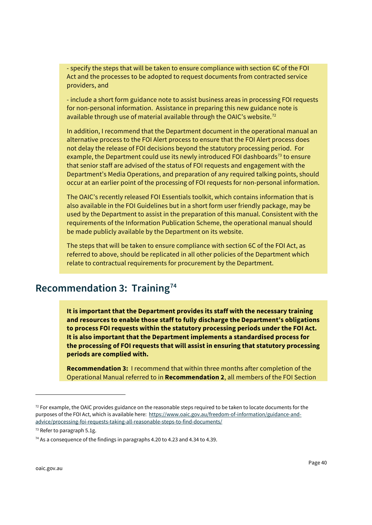- specify the steps that will be taken to ensure compliance with section 6C of the FOI Act and the processes to be adopted to request documents from contracted service providers, and

- include a short form guidance note to assist business areas in processing FOI requests for non-personal information. Assistance in preparing this new guidance note is available through use of material available through the OAIC's website.<sup>[72](#page-42-1)</sup>

In addition, I recommend that the Department document in the operational manual an alternative process to the FOI Alert process to ensure that the FOI Alert process does not delay the release of FOI decisions beyond the statutory processing period. For example, the Department could use its newly introduced FOI dashboards<sup>[73](#page-42-2)</sup> to ensure that senior staff are advised of the status of FOI requests and engagement with the Department's Media Operations, and preparation of any required talking points, should occur at an earlier point of the processing of FOI requests for non-personal information.

The OAIC's recently released FOI Essentials toolkit, which contains information that is also available in the FOI Guidelines but in a short form user friendly package, may be used by the Department to assist in the preparation of this manual. Consistent with the requirements of the Information Publication Scheme, the operational manual should be made publicly available by the Department on its website.

The steps that will be taken to ensure compliance with section 6C of the FOI Act, as referred to above, should be replicated in all other policies of the Department which relate to contractual requirements for procurement by the Department.

### <span id="page-42-0"></span>**Recommendation 3: Training[74](#page-42-3)**

**It is important that the Department provides its staff with the necessary training and resources to enable those staff to fully discharge the Department's obligations to process FOI requests within the statutory processing periods under the FOI Act. It is also important that the Department implements a standardised process for the processing of FOI requests that will assist in ensuring that statutory processing periods are complied with.**

**Recommendation 3:** I recommend that within three months after completion of the Operational Manual referred to in **Recommendation 2**, all members of the FOI Section

<span id="page-42-1"></span> $72$  For example, the OAIC provides guidance on the reasonable steps required to be taken to locate documents for the purposes of the FOI Act, which is available here: [https://www.oaic.gov.au/freedom-of-information/guidance-and](https://www.oaic.gov.au/freedom-of-information/guidance-and-advice/processing-foi-requests-taking-all-reasonable-steps-to-find-documents/)[advice/processing-foi-requests-taking-all-reasonable-steps-to-find-documents/](https://www.oaic.gov.au/freedom-of-information/guidance-and-advice/processing-foi-requests-taking-all-reasonable-steps-to-find-documents/)

<span id="page-42-2"></span><sup>&</sup>lt;sup>73</sup> Refer to paragraph 5.1g.

<span id="page-42-3"></span><sup>&</sup>lt;sup>74</sup> As a consequence of the findings in paragraphs 4.20 to 4.23 and 4.34 to 4.39.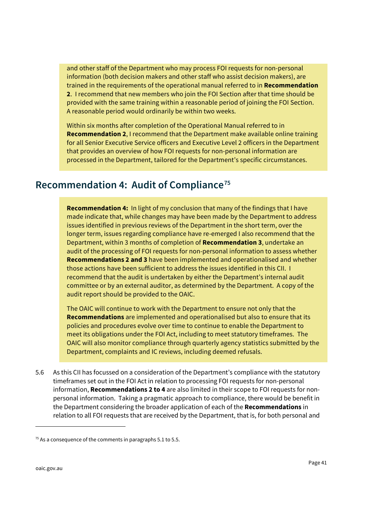and other staff of the Department who may process FOI requests for non-personal information (both decision makers and other staff who assist decision makers), are trained in the requirements of the operational manual referred to in **Recommendation 2**. I recommend that new members who join the FOI Section after that time should be provided with the same training within a reasonable period of joining the FOI Section. A reasonable period would ordinarily be within two weeks.

Within six months after completion of the Operational Manual referred to in **Recommendation 2**, I recommend that the Department make available online training for all Senior Executive Service officers and Executive Level 2 officers in the Department that provides an overview of how FOI requests for non-personal information are processed in the Department, tailored for the Department's specific circumstances.

### <span id="page-43-0"></span>**Recommendation 4: Audit of Compliance[75](#page-43-1)**

**Recommendation 4:** In light of my conclusion that many of the findings that I have made indicate that, while changes may have been made by the Department to address issues identified in previous reviews of the Department in the short term, over the longer term, issues regarding compliance have re-emerged I also recommend that the Department, within 3 months of completion of **Recommendation 3**, undertake an audit of the processing of FOI requests for non-personal information to assess whether **Recommendations 2 and 3** have been implemented and operationalised and whether those actions have been sufficient to address the issues identified in this CII. I recommend that the audit is undertaken by either the Department's internal audit committee or by an external auditor, as determined by the Department. A copy of the audit report should be provided to the OAIC.

The OAIC will continue to work with the Department to ensure not only that the **Recommendations** are implemented and operationalised but also to ensure that its policies and procedures evolve over time to continue to enable the Department to meet its obligations under the FOI Act, including to meet statutory timeframes. The OAIC will also monitor compliance through quarterly agency statistics submitted by the Department, complaints and IC reviews, including deemed refusals.

5.6 As this CII has focussed on a consideration of the Department's compliance with the statutory timeframes set out in the FOI Act in relation to processing FOI requests for non-personal information, **Recommendations 2 to 4** are also limited in their scope to FOI requests for nonpersonal information. Taking a pragmatic approach to compliance, there would be benefit in the Department considering the broader application of each of the **Recommendations** in relation to all FOI requests that are received by the Department, that is, for both personal and

<span id="page-43-1"></span> $75$  As a consequence of the comments in paragraphs 5.1 to 5.5.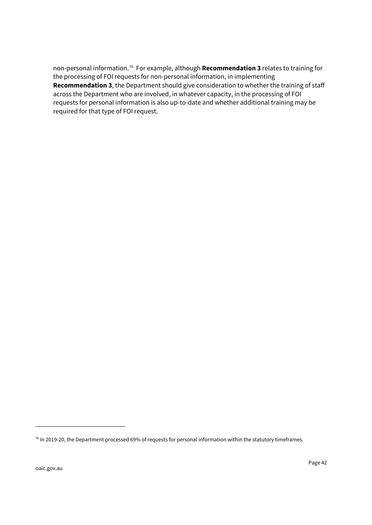non-personal information.[76](#page-44-0) For example, although **Recommendation 3** relates to training for the processing of FOI requests for non-personal information, in implementing **Recommendation 3**, the Department should give consideration to whether the training of staff across the Department who are involved, in whatever capacity, in the processing of FOI requests for personal information is also up-to-date and whether additional training may be required for that type of FOI request.

<span id="page-44-0"></span><sup>&</sup>lt;sup>76</sup> In 2019-20, the Department processed 69% of requests for personal information within the statutory timeframes.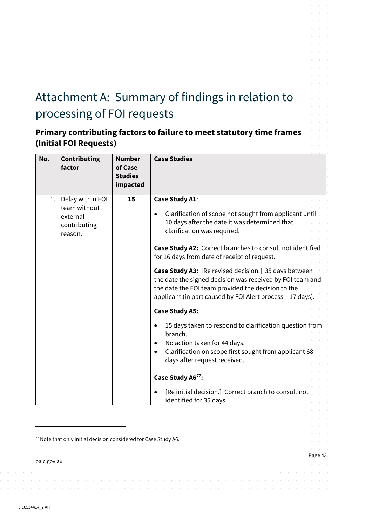# <span id="page-45-0"></span>Attachment A: Summary of findings in relation to processing of FOI requests

 $\mathcal{L}^{\text{max}}$  and  $\mathcal{L}^{\text{max}}$ . . .

. .

 $\sim$ 

 $\sim$ 

 $\sim$ 

 $\alpha$  . The second second

### **Primary contributing factors to failure to meet statutory time frames (Initial FOI Requests)**

| No. | <b>Contributing</b><br>factor                                           | <b>Number</b><br>of Case<br><b>Studies</b><br>impacted | <b>Case Studies</b>                                                                                                                                                                                                                                                                                                                                   |
|-----|-------------------------------------------------------------------------|--------------------------------------------------------|-------------------------------------------------------------------------------------------------------------------------------------------------------------------------------------------------------------------------------------------------------------------------------------------------------------------------------------------------------|
| 1.  | Delay within FOI<br>team without<br>external<br>contributing<br>reason. | 15                                                     | <b>Case Study A1:</b><br>Clarification of scope not sought from applicant until<br>10 days after the date it was determined that<br>clarification was required.<br>Case Study A2: Correct branches to consult not identified                                                                                                                          |
|     |                                                                         |                                                        | for 16 days from date of receipt of request.<br>Case Study A3: [Re revised decision.] 35 days between<br>the date the signed decision was received by FOI team and<br>the date the FOI team provided the decision to the<br>applicant (in part caused by FOI Alert process - 17 days).                                                                |
|     |                                                                         |                                                        | <b>Case Study A5:</b><br>15 days taken to respond to clarification question from<br>branch.<br>No action taken for 44 days.<br>$\bullet$<br>Clarification on scope first sought from applicant 68<br>$\bullet$<br>days after request received.<br>Case Study A677:<br>[Re initial decision.] Correct branch to consult not<br>identified for 35 days. |

and a series of the contract of the contract of the contract of the contract of the contract of the contract of

and a series of the contract of the contract of the contract of the contract of the contract of the contract of

<span id="page-45-1"></span><sup>77</sup> Note that only initial decision considered for Case Study A6.

Page 43 oaic.gov.au

and the control

 $\sim$  $\sim$ 

. . . .

 $\alpha$  . The second second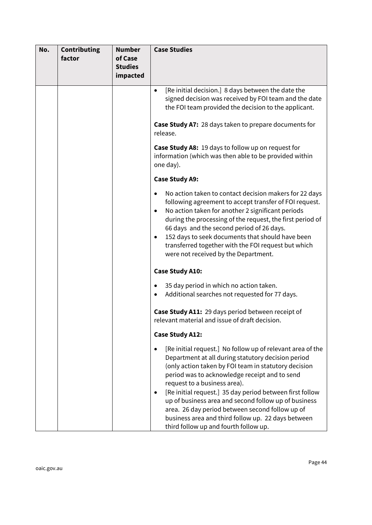| No. | <b>Contributing</b><br>factor | <b>Number</b><br>of Case<br><b>Studies</b><br>impacted | <b>Case Studies</b>                                                                                                                                                                                                                                                                                                                                                                                                                                                                                                             |
|-----|-------------------------------|--------------------------------------------------------|---------------------------------------------------------------------------------------------------------------------------------------------------------------------------------------------------------------------------------------------------------------------------------------------------------------------------------------------------------------------------------------------------------------------------------------------------------------------------------------------------------------------------------|
|     |                               |                                                        | [Re initial decision.] 8 days between the date the<br>$\bullet$<br>signed decision was received by FOI team and the date<br>the FOI team provided the decision to the applicant.                                                                                                                                                                                                                                                                                                                                                |
|     |                               |                                                        | Case Study A7: 28 days taken to prepare documents for<br>release.                                                                                                                                                                                                                                                                                                                                                                                                                                                               |
|     |                               |                                                        | Case Study A8: 19 days to follow up on request for<br>information (which was then able to be provided within<br>one day).                                                                                                                                                                                                                                                                                                                                                                                                       |
|     |                               |                                                        | <b>Case Study A9:</b>                                                                                                                                                                                                                                                                                                                                                                                                                                                                                                           |
|     |                               |                                                        | No action taken to contact decision makers for 22 days<br>following agreement to accept transfer of FOI request.<br>No action taken for another 2 significant periods<br>$\bullet$<br>during the processing of the request, the first period of<br>66 days and the second period of 26 days.<br>152 days to seek documents that should have been<br>$\bullet$<br>transferred together with the FOI request but which<br>were not received by the Department.                                                                    |
|     |                               |                                                        | <b>Case Study A10:</b>                                                                                                                                                                                                                                                                                                                                                                                                                                                                                                          |
|     |                               |                                                        | 35 day period in which no action taken.<br>٠<br>Additional searches not requested for 77 days.                                                                                                                                                                                                                                                                                                                                                                                                                                  |
|     |                               |                                                        | Case Study A11: 29 days period between receipt of<br>relevant material and issue of draft decision.                                                                                                                                                                                                                                                                                                                                                                                                                             |
|     |                               |                                                        | <b>Case Study A12:</b>                                                                                                                                                                                                                                                                                                                                                                                                                                                                                                          |
|     |                               |                                                        | [Re initial request.] No follow up of relevant area of the<br>Department at all during statutory decision period<br>(only action taken by FOI team in statutory decision<br>period was to acknowledge receipt and to send<br>request to a business area).<br>[Re initial request.] 35 day period between first follow<br>up of business area and second follow up of business<br>area. 26 day period between second follow up of<br>business area and third follow up. 22 days between<br>third follow up and fourth follow up. |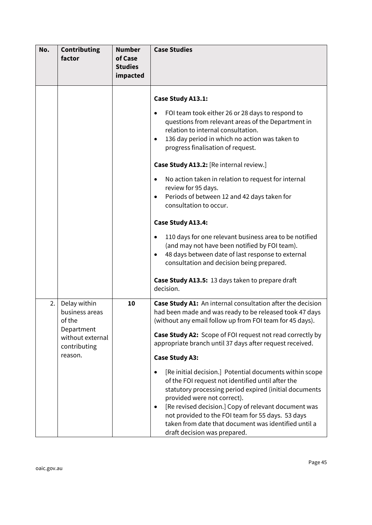| No. | <b>Contributing</b><br>factor                                                                         | <b>Number</b><br>of Case<br><b>Studies</b><br>impacted | <b>Case Studies</b>                                                                                                                                                                                                                                                                                                                                                                                                                                                                                                                                                                                                                                                                                                                                                                                       |
|-----|-------------------------------------------------------------------------------------------------------|--------------------------------------------------------|-----------------------------------------------------------------------------------------------------------------------------------------------------------------------------------------------------------------------------------------------------------------------------------------------------------------------------------------------------------------------------------------------------------------------------------------------------------------------------------------------------------------------------------------------------------------------------------------------------------------------------------------------------------------------------------------------------------------------------------------------------------------------------------------------------------|
|     |                                                                                                       |                                                        | Case Study A13.1:<br>FOI team took either 26 or 28 days to respond to<br>$\bullet$<br>questions from relevant areas of the Department in<br>relation to internal consultation.<br>136 day period in which no action was taken to<br>$\bullet$<br>progress finalisation of request.<br>Case Study A13.2: [Re internal review.]<br>No action taken in relation to request for internal<br>٠<br>review for 95 days.<br>Periods of between 12 and 42 days taken for<br>consultation to occur.<br>Case Study A13.4:<br>110 days for one relevant business area to be notified<br>(and may not have been notified by FOI team).<br>48 days between date of last response to external<br>$\bullet$<br>consultation and decision being prepared.<br>Case Study A13.5: 13 days taken to prepare draft<br>decision. |
| 2.  | Delay within<br>business areas<br>of the<br>Department<br>without external<br>contributing<br>reason. | 10                                                     | Case Study A1: An internal consultation after the decision<br>had been made and was ready to be released took 47 days<br>(without any email follow up from FOI team for 45 days).<br>Case Study A2: Scope of FOI request not read correctly by<br>appropriate branch until 37 days after request received.<br><b>Case Study A3:</b><br>[Re initial decision.] Potential documents within scope<br>of the FOI request not identified until after the<br>statutory processing period expired (initial documents<br>provided were not correct).<br>[Re revised decision.] Copy of relevant document was<br>$\bullet$<br>not provided to the FOI team for 55 days. 53 days<br>taken from date that document was identified until a<br>draft decision was prepared.                                            |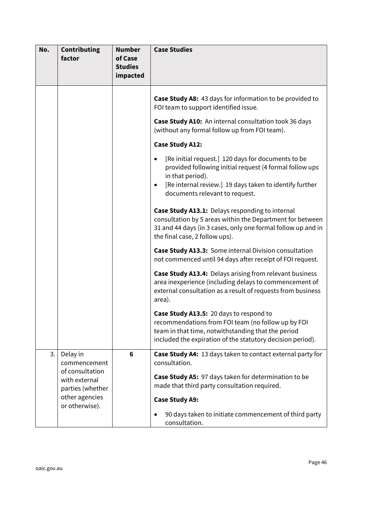| No. | Contributing<br>factor                                                                             | <b>Number</b><br>of Case<br><b>Studies</b><br>impacted | <b>Case Studies</b>                                                                                                                                                                                                                         |
|-----|----------------------------------------------------------------------------------------------------|--------------------------------------------------------|---------------------------------------------------------------------------------------------------------------------------------------------------------------------------------------------------------------------------------------------|
|     |                                                                                                    |                                                        | Case Study A8: 43 days for information to be provided to<br>FOI team to support identified issue.                                                                                                                                           |
|     |                                                                                                    |                                                        | Case Study A10: An internal consultation took 36 days<br>(without any formal follow up from FOI team).                                                                                                                                      |
|     |                                                                                                    |                                                        | <b>Case Study A12:</b>                                                                                                                                                                                                                      |
|     |                                                                                                    |                                                        | [Re initial request.] 120 days for documents to be<br>provided following initial request (4 formal follow ups<br>in that period).<br>[Re internal review.] 19 days taken to identify further<br>$\bullet$<br>documents relevant to request. |
|     |                                                                                                    |                                                        | Case Study A13.1: Delays responding to internal<br>consultation by 5 areas within the Department for between<br>31 and 44 days (in 3 cases, only one formal follow up and in<br>the final case, 2 follow ups).                              |
|     |                                                                                                    |                                                        | Case Study A13.3: Some internal Division consultation<br>not commenced until 94 days after receipt of FOI request.                                                                                                                          |
|     |                                                                                                    |                                                        | Case Study A13.4: Delays arising from relevant business<br>area inexperience (including delays to commencement of<br>external consultation as a result of requests from business<br>area).                                                  |
|     |                                                                                                    |                                                        | Case Study A13.5: 20 days to respond to<br>recommendations from FOI team (no follow up by FOI<br>team in that time, notwithstanding that the period<br>included the expiration of the statutory decision period).                           |
| 3.  | Delay in<br>commencement<br>of consultation<br>with external<br>parties (whether<br>other agencies | 6                                                      | Case Study A4: 13 days taken to contact external party for<br>consultation.                                                                                                                                                                 |
|     |                                                                                                    |                                                        | Case Study A5: 97 days taken for determination to be<br>made that third party consultation required.                                                                                                                                        |
|     |                                                                                                    |                                                        | <b>Case Study A9:</b>                                                                                                                                                                                                                       |
|     | or otherwise).                                                                                     |                                                        | 90 days taken to initiate commencement of third party<br>consultation.                                                                                                                                                                      |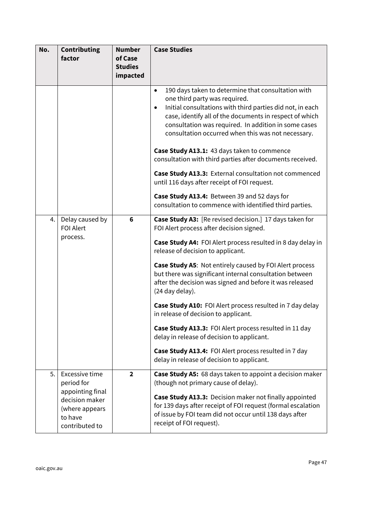| No. | <b>Contributing</b><br>factor                                 | <b>Number</b><br>of Case<br><b>Studies</b><br>impacted | <b>Case Studies</b>                                                                                                                                                                                                                                                                                                                                 |
|-----|---------------------------------------------------------------|--------------------------------------------------------|-----------------------------------------------------------------------------------------------------------------------------------------------------------------------------------------------------------------------------------------------------------------------------------------------------------------------------------------------------|
|     |                                                               |                                                        | 190 days taken to determine that consultation with<br>$\bullet$<br>one third party was required.<br>Initial consultations with third parties did not, in each<br>$\bullet$<br>case, identify all of the documents in respect of which<br>consultation was required. In addition in some cases<br>consultation occurred when this was not necessary. |
|     |                                                               |                                                        | Case Study A13.1: 43 days taken to commence<br>consultation with third parties after documents received.                                                                                                                                                                                                                                            |
|     |                                                               |                                                        | Case Study A13.3: External consultation not commenced<br>until 116 days after receipt of FOI request.                                                                                                                                                                                                                                               |
|     |                                                               |                                                        | Case Study A13.4: Between 39 and 52 days for<br>consultation to commence with identified third parties.                                                                                                                                                                                                                                             |
| 4.  | Delay caused by<br><b>FOI Alert</b>                           | 6                                                      | Case Study A3: [Re revised decision.] 17 days taken for<br>FOI Alert process after decision signed.                                                                                                                                                                                                                                                 |
|     | process.                                                      |                                                        | Case Study A4: FOI Alert process resulted in 8 day delay in<br>release of decision to applicant.                                                                                                                                                                                                                                                    |
|     |                                                               |                                                        | Case Study A5: Not entirely caused by FOI Alert process<br>but there was significant internal consultation between<br>after the decision was signed and before it was released<br>(24 day delay).                                                                                                                                                   |
|     |                                                               |                                                        | Case Study A10: FOI Alert process resulted in 7 day delay<br>in release of decision to applicant.                                                                                                                                                                                                                                                   |
|     |                                                               |                                                        | Case Study A13.3: FOI Alert process resulted in 11 day<br>delay in release of decision to applicant.                                                                                                                                                                                                                                                |
|     |                                                               |                                                        | Case Study A13.4: FOI Alert process resulted in 7 day<br>delay in release of decision to applicant.                                                                                                                                                                                                                                                 |
| 5.  | Excessive time<br>period for<br>appointing final              | $\overline{\mathbf{2}}$                                | Case Study A5: 68 days taken to appoint a decision maker<br>(though not primary cause of delay).                                                                                                                                                                                                                                                    |
|     | decision maker<br>(where appears<br>to have<br>contributed to |                                                        | Case Study A13.3: Decision maker not finally appointed<br>for 139 days after receipt of FOI request (formal escalation<br>of issue by FOI team did not occur until 138 days after<br>receipt of FOI request).                                                                                                                                       |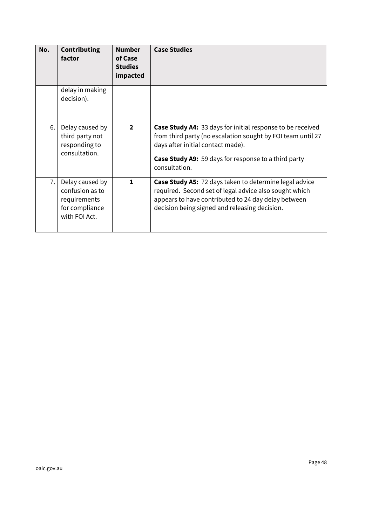| No. | <b>Contributing</b><br>factor                                                         | <b>Number</b><br>of Case<br><b>Studies</b><br>impacted | <b>Case Studies</b>                                                                                                                                                                                                                     |
|-----|---------------------------------------------------------------------------------------|--------------------------------------------------------|-----------------------------------------------------------------------------------------------------------------------------------------------------------------------------------------------------------------------------------------|
|     | delay in making<br>decision).                                                         |                                                        |                                                                                                                                                                                                                                         |
| 6.  | Delay caused by<br>third party not<br>responding to<br>consultation.                  | $\overline{2}$                                         | Case Study A4: 33 days for initial response to be received<br>from third party (no escalation sought by FOI team until 27<br>days after initial contact made).<br>Case Study A9: 59 days for response to a third party<br>consultation. |
| 7.  | Delay caused by<br>confusion as to<br>requirements<br>for compliance<br>with FOI Act. | $\mathbf{1}$                                           | Case Study A5: 72 days taken to determine legal advice<br>required. Second set of legal advice also sought which<br>appears to have contributed to 24 day delay between<br>decision being signed and releasing decision.                |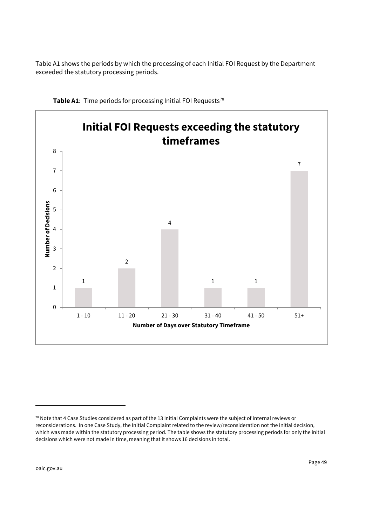Table A1 shows the periods by which the processing of each Initial FOI Request by the Department exceeded the statutory processing periods.





<span id="page-51-0"></span> $78$  Note that 4 Case Studies considered as part of the 13 Initial Complaints were the subject of internal reviews or reconsiderations. In one Case Study, the Initial Complaint related to the review/reconsideration not the initial decision, which was made within the statutory processing period. The table shows the statutory processing periods for only the initial decisions which were not made in time, meaning that it shows 16 decisions in total.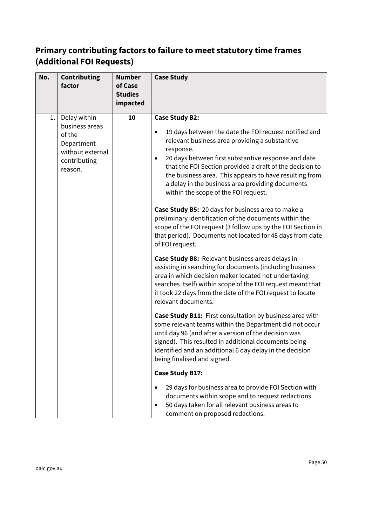### **Primary contributing factors to failure to meet statutory time frames (Additional FOI Requests)**

| No. | <b>Contributing</b><br>factor                                                                         | <b>Number</b><br>of Case<br><b>Studies</b><br>impacted | <b>Case Study</b>                                                                                                                                                                                                                                                                                                                                                                                                                                                                                                                                                                                                                                                                                                                                                                                                                                                                                                                                                                                             |
|-----|-------------------------------------------------------------------------------------------------------|--------------------------------------------------------|---------------------------------------------------------------------------------------------------------------------------------------------------------------------------------------------------------------------------------------------------------------------------------------------------------------------------------------------------------------------------------------------------------------------------------------------------------------------------------------------------------------------------------------------------------------------------------------------------------------------------------------------------------------------------------------------------------------------------------------------------------------------------------------------------------------------------------------------------------------------------------------------------------------------------------------------------------------------------------------------------------------|
| 1.  | Delay within<br>business areas<br>of the<br>Department<br>without external<br>contributing<br>reason. | 10                                                     | <b>Case Study B2:</b><br>19 days between the date the FOI request notified and<br>$\bullet$<br>relevant business area providing a substantive<br>response.<br>20 days between first substantive response and date<br>٠<br>that the FOI Section provided a draft of the decision to<br>the business area. This appears to have resulting from<br>a delay in the business area providing documents<br>within the scope of the FOI request.<br>Case Study B5: 20 days for business area to make a<br>preliminary identification of the documents within the<br>scope of the FOI request (3 follow ups by the FOI Section in<br>that period). Documents not located for 48 days from date<br>of FOI request.<br>Case Study B8: Relevant business areas delays in<br>assisting in searching for documents (including business<br>area in which decision maker located not undertaking<br>searches itself) within scope of the FOI request meant that<br>it took 22 days from the date of the FOI request to locate |
|     |                                                                                                       |                                                        | relevant documents.<br>Case Study B11: First consultation by business area with<br>some relevant teams within the Department did not occur<br>until day 96 (and after a version of the decision was<br>signed). This resulted in additional documents being<br>identified and an additional 6 day delay in the decision<br>being finalised and signed.<br><b>Case Study B17:</b><br>29 days for business area to provide FOI Section with<br>$\bullet$<br>documents within scope and to request redactions.<br>50 days taken for all relevant business areas to<br>$\bullet$<br>comment on proposed redactions.                                                                                                                                                                                                                                                                                                                                                                                               |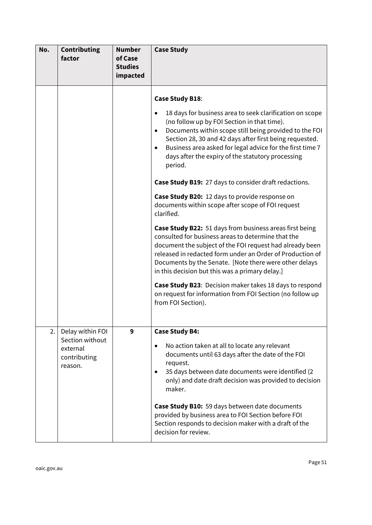| No. | <b>Contributing</b><br>factor                                              | <b>Number</b><br>of Case<br><b>Studies</b><br>impacted | <b>Case Study</b>                                                                                                                                                                                                                                                                                                                                                                                                                                                                                                                                                                                                                                                                                                                                                                                                                                                                                                                                                                                                                                                                        |
|-----|----------------------------------------------------------------------------|--------------------------------------------------------|------------------------------------------------------------------------------------------------------------------------------------------------------------------------------------------------------------------------------------------------------------------------------------------------------------------------------------------------------------------------------------------------------------------------------------------------------------------------------------------------------------------------------------------------------------------------------------------------------------------------------------------------------------------------------------------------------------------------------------------------------------------------------------------------------------------------------------------------------------------------------------------------------------------------------------------------------------------------------------------------------------------------------------------------------------------------------------------|
|     |                                                                            |                                                        | <b>Case Study B18:</b><br>18 days for business area to seek clarification on scope<br>٠<br>(no follow up by FOI Section in that time).<br>Documents within scope still being provided to the FOI<br>$\bullet$<br>Section 28, 30 and 42 days after first being requested.<br>Business area asked for legal advice for the first time 7<br>days after the expiry of the statutory processing<br>period.<br>Case Study B19: 27 days to consider draft redactions.<br>Case Study B20: 12 days to provide response on<br>documents within scope after scope of FOI request<br>clarified.<br>Case Study B22: 51 days from business areas first being<br>consulted for business areas to determine that the<br>document the subject of the FOI request had already been<br>released in redacted form under an Order of Production of<br>Documents by the Senate. [Note there were other delays<br>in this decision but this was a primary delay.]<br>Case Study B23: Decision maker takes 18 days to respond<br>on request for information from FOI Section (no follow up<br>from FOI Section). |
| 2.  | Delay within FOI<br>Section without<br>external<br>contributing<br>reason. | 9                                                      | <b>Case Study B4:</b><br>No action taken at all to locate any relevant<br>٠<br>documents until 63 days after the date of the FOI<br>request.<br>35 days between date documents were identified (2<br>only) and date draft decision was provided to decision<br>maker.<br>Case Study B10: 59 days between date documents<br>provided by business area to FOI Section before FOI<br>Section responds to decision maker with a draft of the<br>decision for review.                                                                                                                                                                                                                                                                                                                                                                                                                                                                                                                                                                                                                         |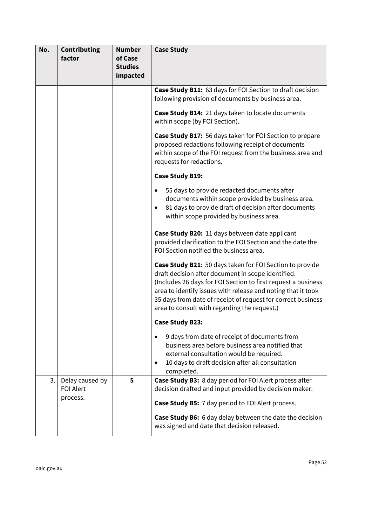| No. | <b>Contributing</b><br>factor       | <b>Number</b><br>of Case<br><b>Studies</b><br>impacted | <b>Case Study</b>                                                                                                                                                                                                                                                                                                                                               |
|-----|-------------------------------------|--------------------------------------------------------|-----------------------------------------------------------------------------------------------------------------------------------------------------------------------------------------------------------------------------------------------------------------------------------------------------------------------------------------------------------------|
|     |                                     |                                                        | Case Study B11: 63 days for FOI Section to draft decision<br>following provision of documents by business area.                                                                                                                                                                                                                                                 |
|     |                                     |                                                        | Case Study B14: 21 days taken to locate documents<br>within scope (by FOI Section).                                                                                                                                                                                                                                                                             |
|     |                                     |                                                        | Case Study B17: 56 days taken for FOI Section to prepare<br>proposed redactions following receipt of documents<br>within scope of the FOI request from the business area and<br>requests for redactions.                                                                                                                                                        |
|     |                                     |                                                        | <b>Case Study B19:</b>                                                                                                                                                                                                                                                                                                                                          |
|     |                                     |                                                        | 55 days to provide redacted documents after<br>documents within scope provided by business area.<br>81 days to provide draft of decision after documents<br>$\bullet$<br>within scope provided by business area.                                                                                                                                                |
|     |                                     |                                                        | Case Study B20: 11 days between date applicant<br>provided clarification to the FOI Section and the date the<br>FOI Section notified the business area.                                                                                                                                                                                                         |
|     |                                     |                                                        | Case Study B21: 50 days taken for FOI Section to provide<br>draft decision after document in scope identified.<br>(Includes 26 days for FOI Section to first request a business<br>area to identify issues with release and noting that it took<br>35 days from date of receipt of request for correct business<br>area to consult with regarding the request.) |
|     |                                     |                                                        | <b>Case Study B23:</b>                                                                                                                                                                                                                                                                                                                                          |
|     |                                     |                                                        | 9 days from date of receipt of documents from<br>business area before business area notified that<br>external consultation would be required.<br>10 days to draft decision after all consultation<br>$\bullet$<br>completed.                                                                                                                                    |
| 3.  | Delay caused by<br><b>FOI Alert</b> | 5                                                      | Case Study B3: 8 day period for FOI Alert process after<br>decision drafted and input provided by decision maker.                                                                                                                                                                                                                                               |
|     | process.                            |                                                        | Case Study B5: 7 day period to FOI Alert process.                                                                                                                                                                                                                                                                                                               |
|     |                                     |                                                        | Case Study B6: 6 day delay between the date the decision<br>was signed and date that decision released.                                                                                                                                                                                                                                                         |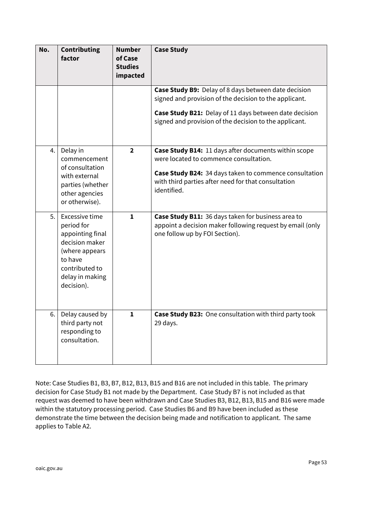| No. | <b>Contributing</b><br>factor                                                                                                                      | <b>Number</b><br>of Case<br><b>Studies</b><br>impacted | <b>Case Study</b>                                                                                                                                                                                                                  |
|-----|----------------------------------------------------------------------------------------------------------------------------------------------------|--------------------------------------------------------|------------------------------------------------------------------------------------------------------------------------------------------------------------------------------------------------------------------------------------|
|     |                                                                                                                                                    |                                                        | Case Study B9: Delay of 8 days between date decision<br>signed and provision of the decision to the applicant.<br>Case Study B21: Delay of 11 days between date decision<br>signed and provision of the decision to the applicant. |
| 4.  | Delay in<br>commencement<br>of consultation<br>with external<br>parties (whether<br>other agencies<br>or otherwise).                               | $\overline{2}$                                         | Case Study B14: 11 days after documents within scope<br>were located to commence consultation.<br>Case Study B24: 34 days taken to commence consultation<br>with third parties after need for that consultation<br>identified.     |
| 5.  | Excessive time<br>period for<br>appointing final<br>decision maker<br>(where appears<br>to have<br>contributed to<br>delay in making<br>decision). | $\mathbf{1}$                                           | Case Study B11: 36 days taken for business area to<br>appoint a decision maker following request by email (only<br>one follow up by FOI Section).                                                                                  |
| 6.  | Delay caused by<br>third party not<br>responding to<br>consultation.                                                                               | $\mathbf{1}$                                           | Case Study B23: One consultation with third party took<br>29 days.                                                                                                                                                                 |

Note: Case Studies B1, B3, B7, B12, B13, B15 and B16 are not included in this table. The primary decision for Case Study B1 not made by the Department. Case Study B7 is not included as that request was deemed to have been withdrawn and Case Studies B3, B12, B13, B15 and B16 were made within the statutory processing period. Case Studies B6 and B9 have been included as these demonstrate the time between the decision being made and notification to applicant. The same applies to Table A2.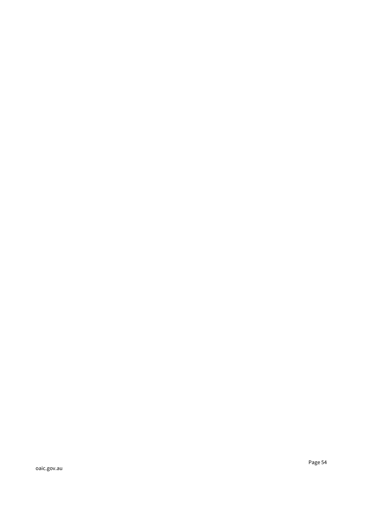oaic.gov.au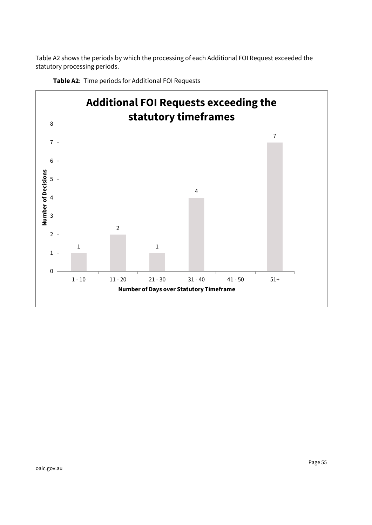Table A2 shows the periods by which the processing of each Additional FOI Request exceeded the statutory processing periods.



**Table A2**: Time periods for Additional FOI Requests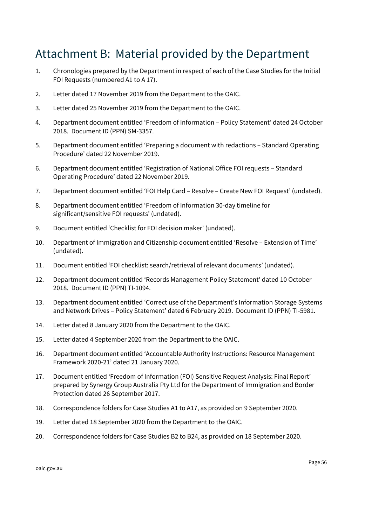# <span id="page-58-0"></span>Attachment B: Material provided by the Department

- 1. Chronologies prepared by the Department in respect of each of the Case Studies for the Initial FOI Requests (numbered A1 to A 17).
- 2. Letter dated 17 November 2019 from the Department to the OAIC.
- 3. Letter dated 25 November 2019 from the Department to the OAIC.
- 4. Department document entitled 'Freedom of Information Policy Statement' dated 24 October 2018. Document ID (PPN) SM-3357.
- 5. Department document entitled 'Preparing a document with redactions Standard Operating Procedure' dated 22 November 2019.
- 6. Department document entitled 'Registration of National Office FOI requests Standard Operating Procedure' dated 22 November 2019.
- 7. Department document entitled 'FOI Help Card Resolve Create New FOI Request' (undated).
- 8. Department document entitled 'Freedom of Information 30-day timeline for significant/sensitive FOI requests' (undated).
- 9. Document entitled 'Checklist for FOI decision maker' (undated).
- 10. Department of Immigration and Citizenship document entitled 'Resolve Extension of Time' (undated).
- 11. Document entitled 'FOI checklist: search/retrieval of relevant documents' (undated).
- 12. Department document entitled 'Records Management Policy Statement' dated 10 October 2018. Document ID (PPN) TI-1094.
- 13. Department document entitled 'Correct use of the Department's Information Storage Systems and Network Drives – Policy Statement' dated 6 February 2019. Document ID (PPN) TI-5981.
- 14. Letter dated 8 January 2020 from the Department to the OAIC.
- 15. Letter dated 4 September 2020 from the Department to the OAIC.
- 16. Department document entitled 'Accountable Authority Instructions: Resource Management Framework 2020-21' dated 21 January 2020.
- 17. Document entitled 'Freedom of Information (FOI) Sensitive Request Analysis: Final Report' prepared by Synergy Group Australia Pty Ltd for the Department of Immigration and Border Protection dated 26 September 2017.
- 18. Correspondence folders for Case Studies A1 to A17, as provided on 9 September 2020.
- 19. Letter dated 18 September 2020 from the Department to the OAIC.
- 20. Correspondence folders for Case Studies B2 to B24, as provided on 18 September 2020.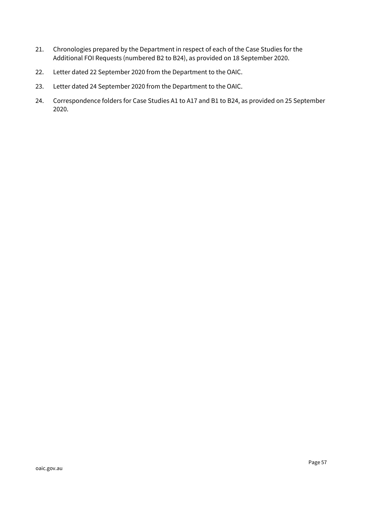- 21. Chronologies prepared by the Department in respect of each of the Case Studies for the Additional FOI Requests (numbered B2 to B24), as provided on 18 September 2020.
- 22. Letter dated 22 September 2020 from the Department to the OAIC.
- 23. Letter dated 24 September 2020 from the Department to the OAIC.
- 24. Correspondence folders for Case Studies A1 to A17 and B1 to B24, as provided on 25 September 2020.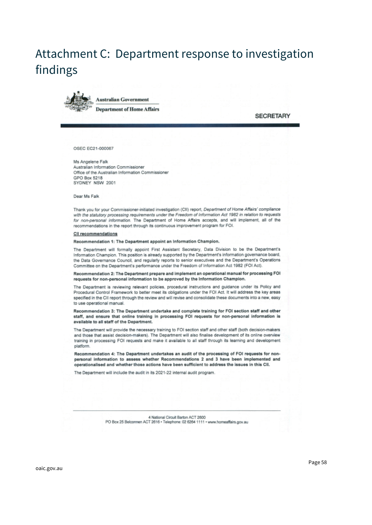# <span id="page-60-0"></span>Attachment C: Department response to investigation findings



**Australian Government Department of Home Affairs** 

**SECRETARY** 

OSEC EC21-000067

Ms Angelene Falk Australian Information Commissioner Office of the Australian Information Commissioner GPO Box 5218 SYDNEY NSW 2001

Dear Ms Falk

Thank you for your Commissioner-initiated investigation (CII) report, Department of Home Affairs' compliance with the statutory processing requirements under the Freedom of Information Act 1982 in relation to requests for non-personal information. The Department of Home Affairs accepts, and will implement, all of the recommendations in the report through its continuous improvement program for FOI.

#### CII recommendations

Recommendation 1: The Department appoint an Information Champion.

The Department will formally appoint First Assistant Secretary, Data Division to be the Department's Information Champion. This position is already supported by the Department's information governance board, the Data Governance Council, and regularly reports to senior executives and the Department's Operations Committee on the Department's performance under the Freedom of Information Act 1982 (FOI Act)

Recommendation 2: The Department prepare and implement an operational manual for processing FOI requests for non-personal information to be approved by the Information Champion.

The Department is reviewing relevant policies, procedural instructions and guidance under its Policy and Procedural Control Framework to better meet its obligations under the FOI Act. It will address the key areas specified in the CII report through the review and will revise and consolidate these documents into a new, easy to use operational manual.

Recommendation 3: The Department undertake and complete training for FOI section staff and other staff, and ensure that online training in processing FOI requests for non-personal information is available to all staff of the Department.

The Department will provide the necessary training to FOI section staff and other staff (both decision-makers and those that assist decision-makers). The Department will also finalise development of its online overview training in processing FOI requests and make it available to all staff through its learning and development platform

Recommendation 4: The Department undertakes an audit of the processing of FOI requests for nonpersonal information to assess whether Recommendations 2 and 3 have been implemented and operationalised and whether those actions have been sufficient to address the issues in this CII.

The Department will include the audit in its 2021-22 internal audit program.

4 National Circuit Barton ACT 2600<br>PO Box 25 Belconnen ACT 2616 • Telephone: 02 6264 1111 • www.homeaffairs.gov.au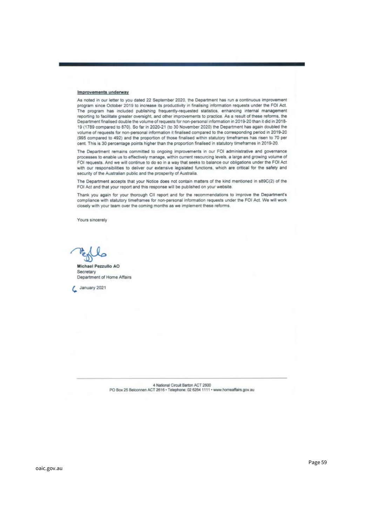#### Improvements underway

As noted in our letter to you dated 22 September 2020, the Department has run a continuous improvement program since October 2019 to increase its productivity in finalising information requests under the FOI Act. The program has included publishing frequently-requested statistics, enhancing internal management reporting to facilitate greater oversight, and other improvements to practice. As a result of these reforms, the Department finalised double the volume of requests for non-personal information in 2019-20 than it did in 2018-19 (1789 compared to 870). So far in 2020-21 (to 30 November 2020) the Department has again doubled the volume of requests for non-personal information it finalised compared to the corresponding period in 2019-20 (995 compared to 492) and the proportion of those finalised within statutory timeframes has risen to 70 per cent. This is 30 percentage points higher than the proportion finalised in statutory timeframes in 2019-20.

The Department remains committed to ongoing improvements in our FOI administrative and governance processes to enable us to effectively manage, within current resourcing levels, a large and growing volume of FOI requests. And we will continue to do so in a way that seeks to balance our obligations under the FOI Act with our responsibilities to deliver our extensive legislated functions, which are critical for the safety and security of the Australian public and the prosperity of Australia.

The Department accepts that your Notice does not contain matters of the kind mentioned in s89C(2) of the FOI Act and that your report and this response will be published on your website.

Thank you again for your thorough CII report and for the recommendations to improve the Department's compliance with statutory timeframes for non-personal information requests under the FOI Act. We will work closely with your team over the coming months as we implement these reforms.

Yours sincerely

Michael Pezzullo AO Secretary Department of Home Affairs

 $\int$  January 2021

4 National Circuit Barton ACT 2600 PO Box 25 Belconnen ACT 2616 · Telephone: 02 6264 1111 · www.homeaffairs.gov.au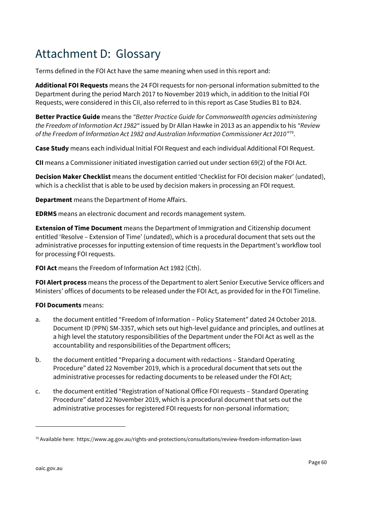# <span id="page-62-0"></span>Attachment D: Glossary

Terms defined in the FOI Act have the same meaning when used in this report and:

**Additional FOI Requests** means the 24 FOI requests for non-personal information submitted to the Department during the period March 2017 to November 2019 which, in addition to the Initial FOI Requests, were considered in this CII, also referred to in this report as Case Studies B1 to B24.

**Better Practice Guide** means the *"Better Practice Guide for Commonwealth agencies administering the Freedom of Information Act 1982"* issued by Dr Allan Hawke in 2013 as an appendix to his *"Review of the Freedom of Information Act 1982 and Australian Information Commissioner Act 2010"*[79.](#page-62-1)

**Case Study** means each individual Initial FOI Request and each individual Additional FOI Request.

**CII** means a Commissioner initiated investigation carried out under section 69(2) of the FOI Act.

**Decision Maker Checklist** means the document entitled 'Checklist for FOI decision maker' (undated), which is a checklist that is able to be used by decision makers in processing an FOI request.

**Department** means the Department of Home Affairs.

**EDRMS** means an electronic document and records management system.

**Extension of Time Document** means the Department of Immigration and Citizenship document entitled 'Resolve – Extension of Time' (undated), which is a procedural document that sets out the administrative processes for inputting extension of time requests in the Department's workflow tool for processing FOI requests.

**FOI Act** means the Freedom of Information Act 1982 (Cth).

**FOI Alert process** means the process of the Department to alert Senior Executive Service officers and Ministers' offices of documents to be released under the FOI Act, as provided for in the FOI Timeline.

#### **FOI Documents** means:

- a. the document entitled "Freedom of Information Policy Statement" dated 24 October 2018. Document ID (PPN) SM-3357, which sets out high-level guidance and principles, and outlines at a high level the statutory responsibilities of the Department under the FOI Act as well as the accountability and responsibilities of the Department officers;
- b. the document entitled "Preparing a document with redactions Standard Operating Procedure" dated 22 November 2019, which is a procedural document that sets out the administrative processes for redacting documents to be released under the FOI Act;
- c. the document entitled "Registration of National Office FOI requests Standard Operating Procedure" dated 22 November 2019, which is a procedural document that sets out the administrative processes for registered FOI requests for non-personal information;

<span id="page-62-1"></span><sup>79</sup> Available here: https://www.ag.gov.au/rights-and-protections/consultations/review-freedom-information-laws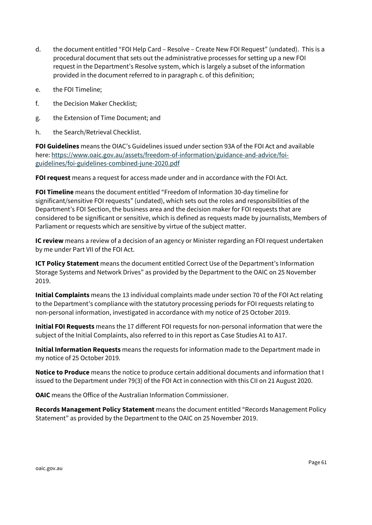- d. the document entitled "FOI Help Card Resolve Create New FOI Request" (undated). This is a procedural document that sets out the administrative processes for setting up a new FOI request in the Department's Resolve system, which is largely a subset of the information provided in the document referred to in paragraph c. of this definition;
- e. the FOI Timeline;
- f. the Decision Maker Checklist;
- g. the Extension of Time Document; and
- h. the Search/Retrieval Checklist.

**FOI Guidelines** means the OIAC's Guidelines issued under section 93A of the FOI Act and available here[: https://www.oaic.gov.au/assets/freedom-of-information/guidance-and-advice/foi](https://www.oaic.gov.au/assets/freedom-of-information/guidance-and-advice/foi-guidelines/foi-guidelines-combined-june-2020.pdf)[guidelines/foi-guidelines-combined-june-2020.pdf](https://www.oaic.gov.au/assets/freedom-of-information/guidance-and-advice/foi-guidelines/foi-guidelines-combined-june-2020.pdf)

**FOI request** means a request for access made under and in accordance with the FOI Act.

**FOI Timeline** means the document entitled "Freedom of Information 30-day timeline for significant/sensitive FOI requests" (undated), which sets out the roles and responsibilities of the Department's FOI Section, the business area and the decision maker for FOI requests that are considered to be significant or sensitive, which is defined as requests made by journalists, Members of Parliament or requests which are sensitive by virtue of the subject matter.

**IC review** means a review of a decision of an agency or Minister regarding an FOI request undertaken by me under Part VII of the FOI Act.

**ICT Policy Statement** means the document entitled Correct Use of the Department's Information Storage Systems and Network Drives" as provided by the Department to the OAIC on 25 November 2019.

**Initial Complaints** means the 13 individual complaints made under section 70 of the FOI Act relating to the Department's compliance with the statutory processing periods for FOI requests relating to non-personal information, investigated in accordance with my notice of 25 October 2019.

**Initial FOI Requests** means the 17 different FOI requests for non-personal information that were the subject of the Initial Complaints, also referred to in this report as Case Studies A1 to A17.

**Initial Information Requests** means the requests for information made to the Department made in my notice of 25 October 2019.

**Notice to Produce** means the notice to produce certain additional documents and information that I issued to the Department under 79(3) of the FOI Act in connection with this CII on 21 August 2020.

**OAIC** means the Office of the Australian Information Commissioner.

**Records Management Policy Statement** means the document entitled "Records Management Policy Statement" as provided by the Department to the OAIC on 25 November 2019.